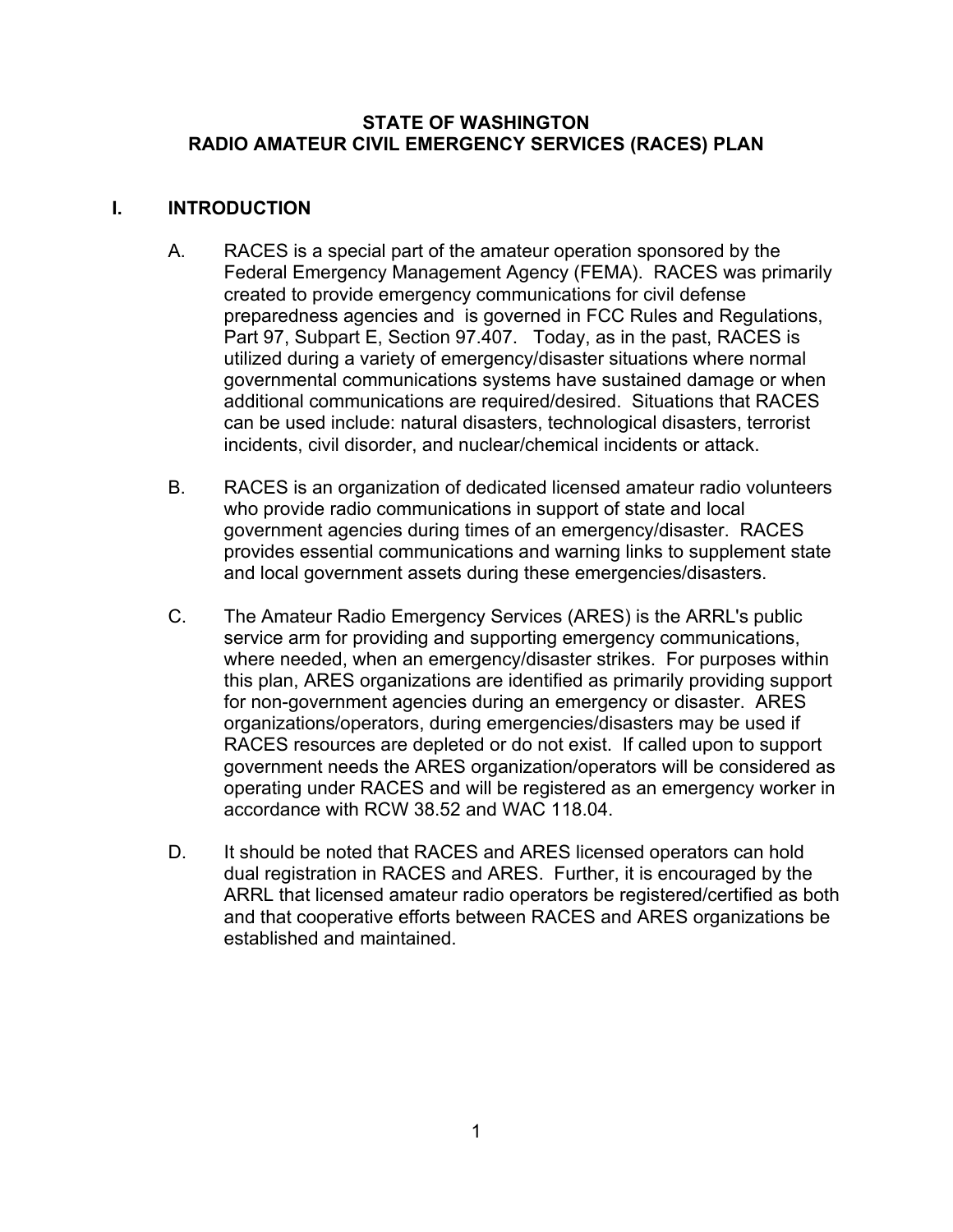### **STATE OF WASHINGTON RADIO AMATEUR CIVIL EMERGENCY SERVICES (RACES) PLAN**

### **I. INTRODUCTION**

- A. RACES is a special part of the amateur operation sponsored by the Federal Emergency Management Agency (FEMA). RACES was primarily created to provide emergency communications for civil defense preparedness agencies and is governed in FCC Rules and Regulations, Part 97, Subpart E, Section 97.407. Today, as in the past, RACES is utilized during a variety of emergency/disaster situations where normal governmental communications systems have sustained damage or when additional communications are required/desired. Situations that RACES can be used include: natural disasters, technological disasters, terrorist incidents, civil disorder, and nuclear/chemical incidents or attack.
- B. RACES is an organization of dedicated licensed amateur radio volunteers who provide radio communications in support of state and local government agencies during times of an emergency/disaster. RACES provides essential communications and warning links to supplement state and local government assets during these emergencies/disasters.
- C. The Amateur Radio Emergency Services (ARES) is the ARRL's public service arm for providing and supporting emergency communications, where needed, when an emergency/disaster strikes. For purposes within this plan, ARES organizations are identified as primarily providing support for non-government agencies during an emergency or disaster. ARES organizations/operators, during emergencies/disasters may be used if RACES resources are depleted or do not exist. If called upon to support government needs the ARES organization/operators will be considered as operating under RACES and will be registered as an emergency worker in accordance with RCW 38.52 and WAC 118.04.
- D. It should be noted that RACES and ARES licensed operators can hold dual registration in RACES and ARES. Further, it is encouraged by the ARRL that licensed amateur radio operators be registered/certified as both and that cooperative efforts between RACES and ARES organizations be established and maintained.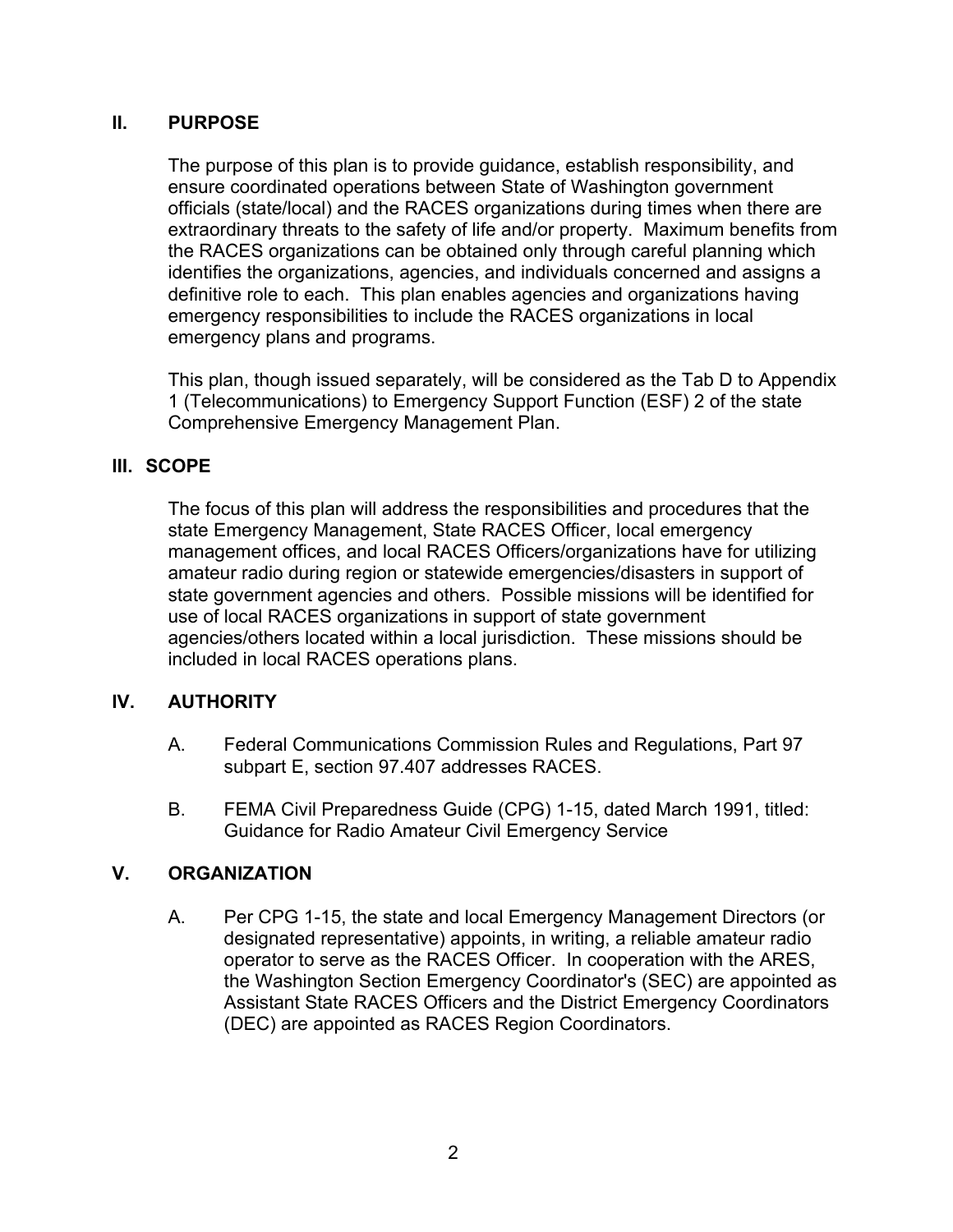### **II. PURPOSE**

The purpose of this plan is to provide guidance, establish responsibility, and ensure coordinated operations between State of Washington government officials (state/local) and the RACES organizations during times when there are extraordinary threats to the safety of life and/or property. Maximum benefits from the RACES organizations can be obtained only through careful planning which identifies the organizations, agencies, and individuals concerned and assigns a definitive role to each. This plan enables agencies and organizations having emergency responsibilities to include the RACES organizations in local emergency plans and programs.

This plan, though issued separately, will be considered as the Tab D to Appendix 1 (Telecommunications) to Emergency Support Function (ESF) 2 of the state Comprehensive Emergency Management Plan.

# **III. SCOPE**

The focus of this plan will address the responsibilities and procedures that the state Emergency Management, State RACES Officer, local emergency management offices, and local RACES Officers/organizations have for utilizing amateur radio during region or statewide emergencies/disasters in support of state government agencies and others. Possible missions will be identified for use of local RACES organizations in support of state government agencies/others located within a local jurisdiction. These missions should be included in local RACES operations plans.

# **IV. AUTHORITY**

- A. Federal Communications Commission Rules and Regulations, Part 97 subpart E, section 97.407 addresses RACES.
- B. FEMA Civil Preparedness Guide (CPG) 1-15, dated March 1991, titled: Guidance for Radio Amateur Civil Emergency Service

### **V. ORGANIZATION**

A. Per CPG 1-15, the state and local Emergency Management Directors (or designated representative) appoints, in writing, a reliable amateur radio operator to serve as the RACES Officer. In cooperation with the ARES, the Washington Section Emergency Coordinator's (SEC) are appointed as Assistant State RACES Officers and the District Emergency Coordinators (DEC) are appointed as RACES Region Coordinators.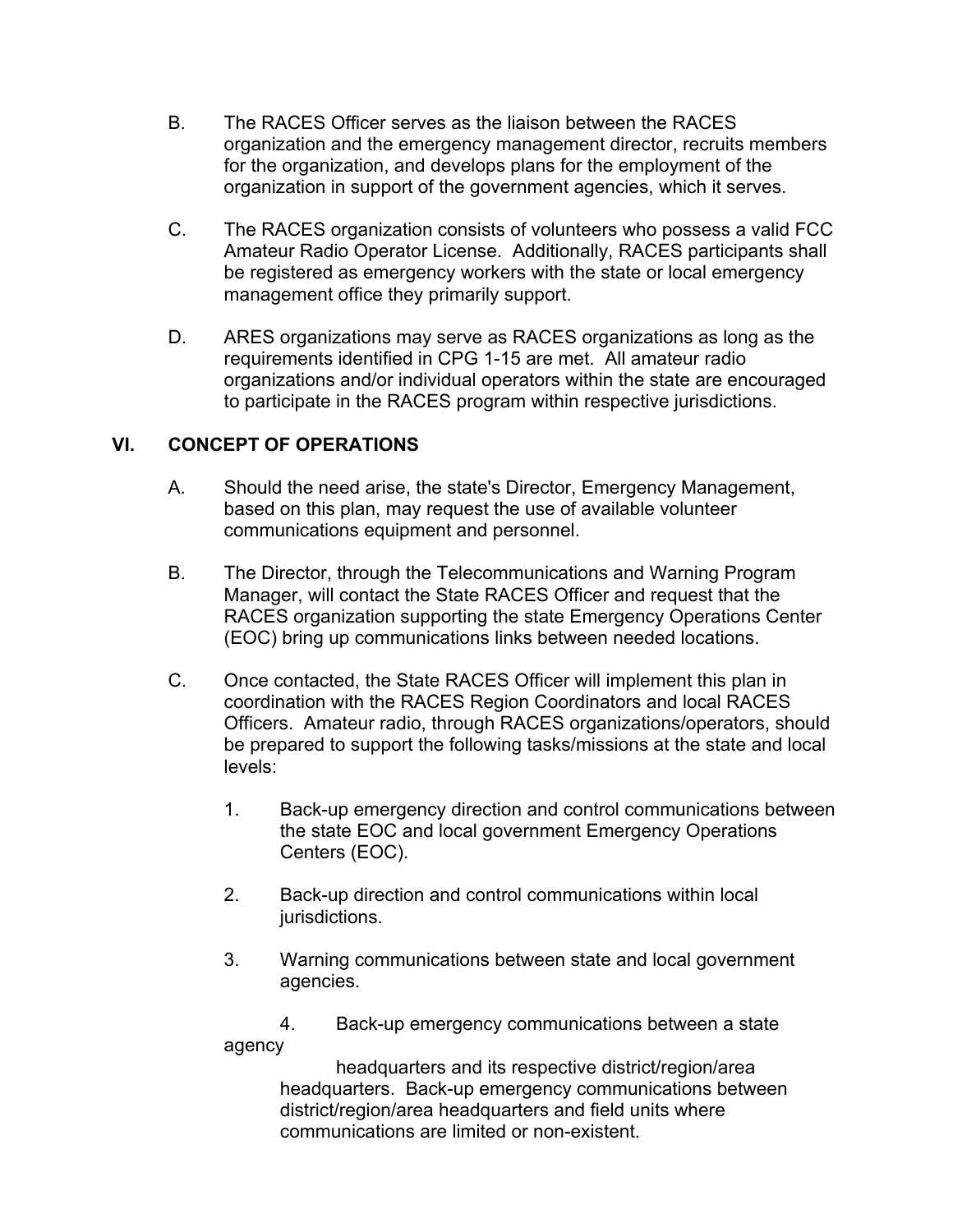- B. The RACES Officer serves as the liaison between the RACES organization and the emergency management director, recruits members for the organization, and develops plans for the employment of the organization in support of the government agencies, which it serves.
- C. The RACES organization consists of volunteers who possess a valid FCC Amateur Radio Operator License. Additionally, RACES participants shall be registered as emergency workers with the state or local emergency management office they primarily support.
- D. ARES organizations may serve as RACES organizations as long as the requirements identified in CPG 1-15 are met. All amateur radio organizations and/or individual operators within the state are encouraged to participate in the RACES program within respective jurisdictions.

# **VI. CONCEPT OF OPERATIONS**

- A. Should the need arise, the state's Director, Emergency Management, based on this plan, may request the use of available volunteer communications equipment and personnel.
- B. The Director, through the Telecommunications and Warning Program Manager, will contact the State RACES Officer and request that the RACES organization supporting the state Emergency Operations Center (EOC) bring up communications links between needed locations.
- C. Once contacted, the State RACES Officer will implement this plan in coordination with the RACES Region Coordinators and local RACES Officers. Amateur radio, through RACES organizations/operators, should be prepared to support the following tasks/missions at the state and local levels:
	- 1. Back-up emergency direction and control communications between the state EOC and local government Emergency Operations Centers (EOC).
	- 2. Back-up direction and control communications within local jurisdictions.
	- 3. Warning communications between state and local government agencies.

4. Back-up emergency communications between a state agency

headquarters and its respective district/region/area headquarters. Back-up emergency communications between district/region/area headquarters and field units where communications are limited or non-existent.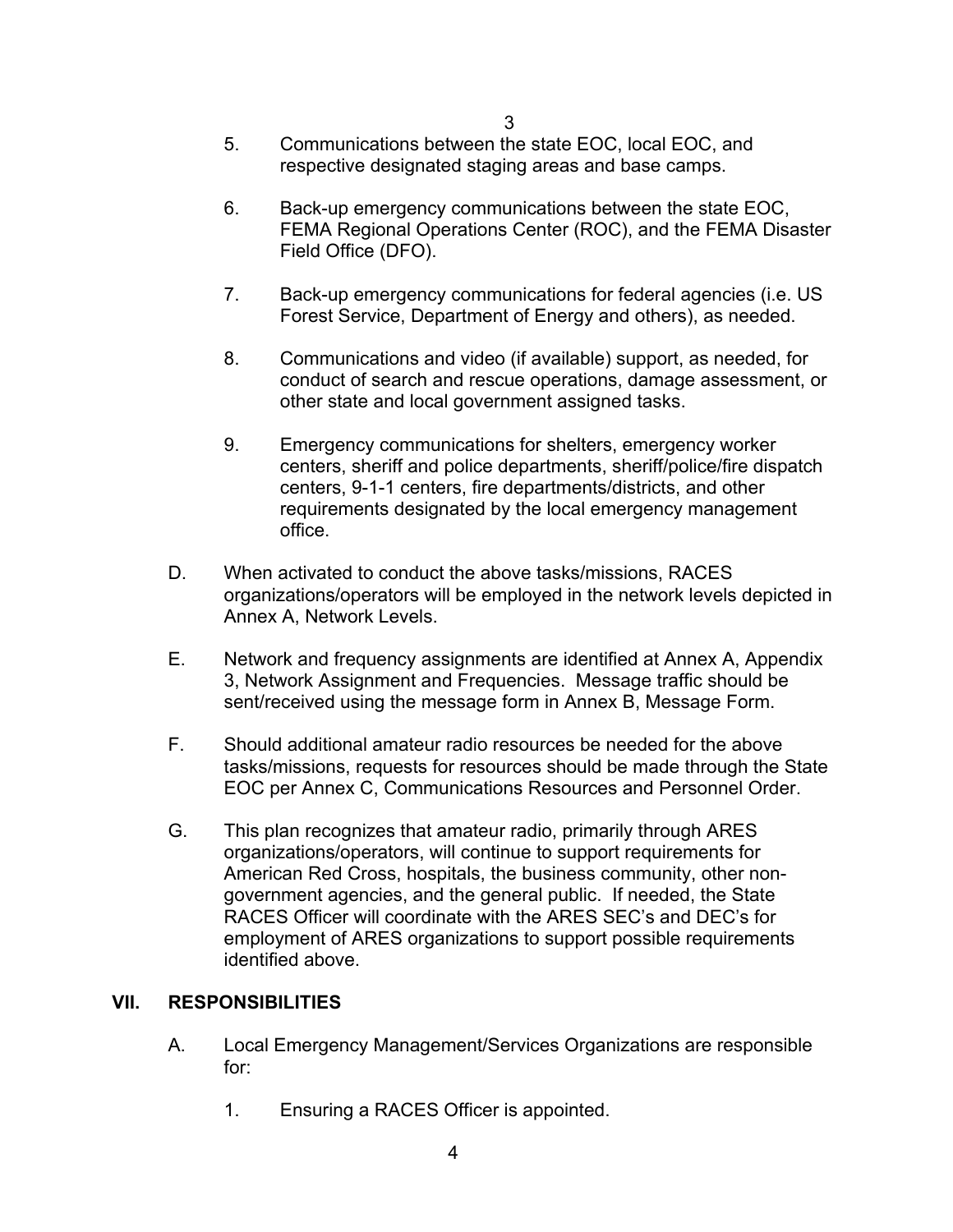- 5. Communications between the state EOC, local EOC, and respective designated staging areas and base camps.
- 6. Back-up emergency communications between the state EOC, FEMA Regional Operations Center (ROC), and the FEMA Disaster Field Office (DFO).
- 7. Back-up emergency communications for federal agencies (i.e. US Forest Service, Department of Energy and others), as needed.
- 8. Communications and video (if available) support, as needed, for conduct of search and rescue operations, damage assessment, or other state and local government assigned tasks.
- 9. Emergency communications for shelters, emergency worker centers, sheriff and police departments, sheriff/police/fire dispatch centers, 9-1-1 centers, fire departments/districts, and other requirements designated by the local emergency management office.
- D. When activated to conduct the above tasks/missions, RACES organizations/operators will be employed in the network levels depicted in Annex A, Network Levels.
- E. Network and frequency assignments are identified at Annex A, Appendix 3, Network Assignment and Frequencies. Message traffic should be sent/received using the message form in Annex B, Message Form.
- F. Should additional amateur radio resources be needed for the above tasks/missions, requests for resources should be made through the State EOC per Annex C, Communications Resources and Personnel Order.
- G. This plan recognizes that amateur radio, primarily through ARES organizations/operators, will continue to support requirements for American Red Cross, hospitals, the business community, other nongovernment agencies, and the general public. If needed, the State RACES Officer will coordinate with the ARES SEC's and DEC's for employment of ARES organizations to support possible requirements identified above.

# **VII. RESPONSIBILITIES**

- A. Local Emergency Management/Services Organizations are responsible for:
	- 1. Ensuring a RACES Officer is appointed.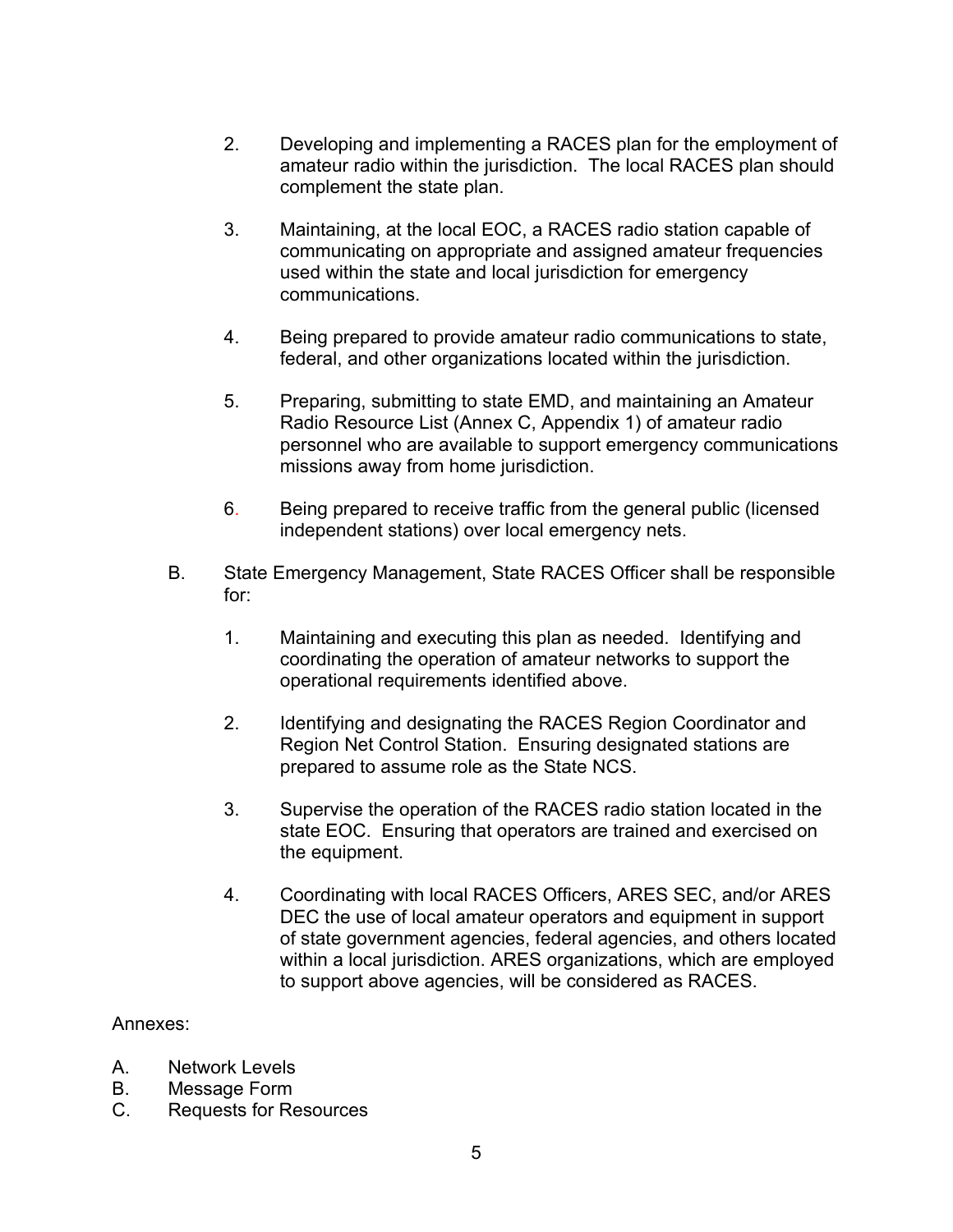- 2. Developing and implementing a RACES plan for the employment of amateur radio within the jurisdiction. The local RACES plan should complement the state plan.
- 3. Maintaining, at the local EOC, a RACES radio station capable of communicating on appropriate and assigned amateur frequencies used within the state and local jurisdiction for emergency communications.
- 4. Being prepared to provide amateur radio communications to state, federal, and other organizations located within the jurisdiction.
- 5. Preparing, submitting to state EMD, and maintaining an Amateur Radio Resource List (Annex C, Appendix 1) of amateur radio personnel who are available to support emergency communications missions away from home jurisdiction.
- 6. Being prepared to receive traffic from the general public (licensed independent stations) over local emergency nets.
- B. State Emergency Management, State RACES Officer shall be responsible for:
	- 1. Maintaining and executing this plan as needed. Identifying and coordinating the operation of amateur networks to support the operational requirements identified above.
	- 2. Identifying and designating the RACES Region Coordinator and Region Net Control Station. Ensuring designated stations are prepared to assume role as the State NCS.
	- 3. Supervise the operation of the RACES radio station located in the state EOC. Ensuring that operators are trained and exercised on the equipment.
	- 4. Coordinating with local RACES Officers, ARES SEC, and/or ARES DEC the use of local amateur operators and equipment in support of state government agencies, federal agencies, and others located within a local jurisdiction. ARES organizations, which are employed to support above agencies, will be considered as RACES.

### Annexes:

- A. Network Levels
- B. Message Form
- C. Requests for Resources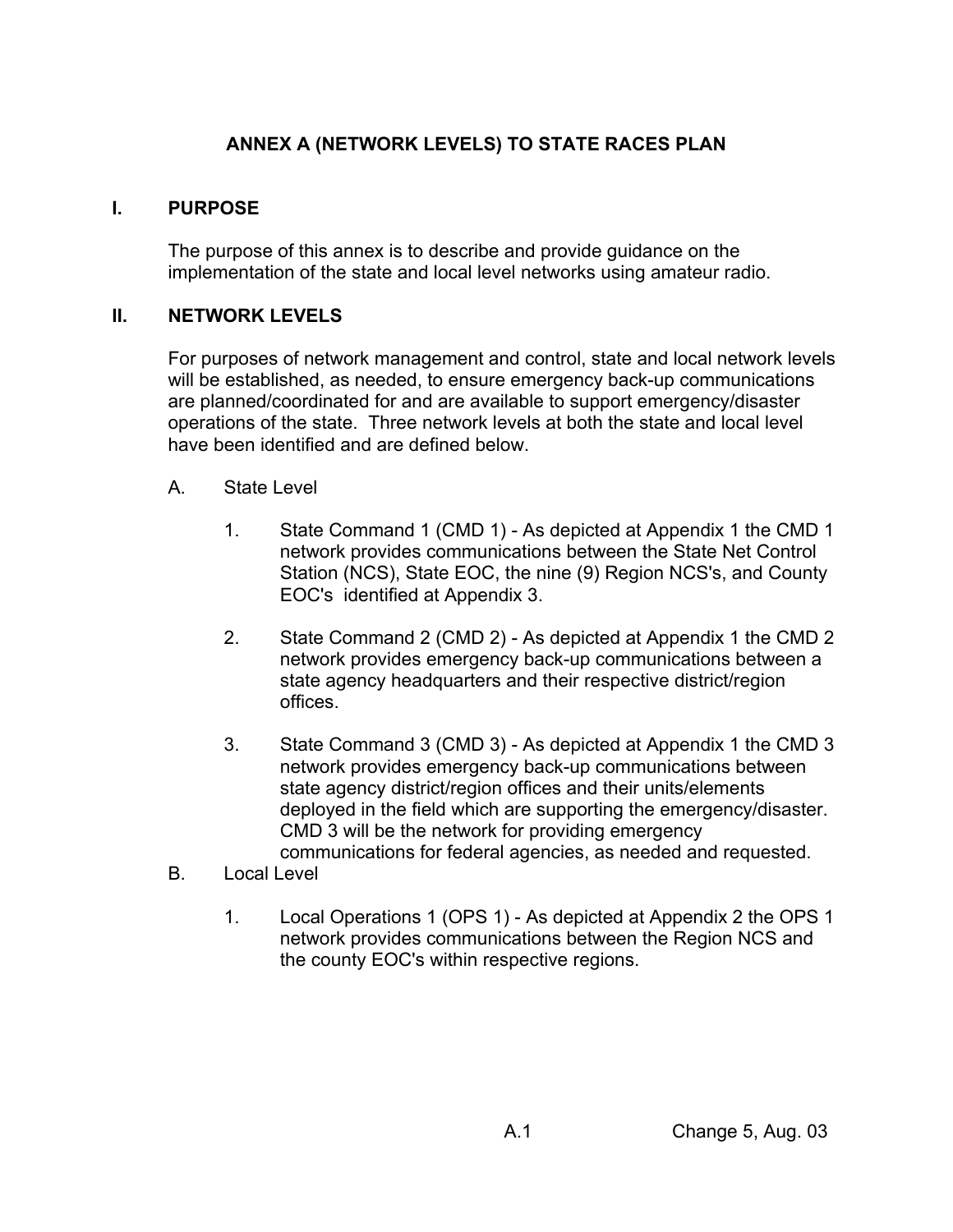# **ANNEX A (NETWORK LEVELS) TO STATE RACES PLAN**

## **I. PURPOSE**

The purpose of this annex is to describe and provide guidance on the implementation of the state and local level networks using amateur radio.

### **II. NETWORK LEVELS**

For purposes of network management and control, state and local network levels will be established, as needed, to ensure emergency back-up communications are planned/coordinated for and are available to support emergency/disaster operations of the state. Three network levels at both the state and local level have been identified and are defined below.

- A. State Level
	- 1. State Command 1 (CMD 1) As depicted at Appendix 1 the CMD 1 network provides communications between the State Net Control Station (NCS), State EOC, the nine (9) Region NCS's, and County EOC's identified at Appendix 3.
	- 2. State Command 2 (CMD 2) As depicted at Appendix 1 the CMD 2 network provides emergency back-up communications between a state agency headquarters and their respective district/region offices.
	- 3. State Command 3 (CMD 3) As depicted at Appendix 1 the CMD 3 network provides emergency back-up communications between state agency district/region offices and their units/elements deployed in the field which are supporting the emergency/disaster. CMD 3 will be the network for providing emergency communications for federal agencies, as needed and requested.
- B. Local Level
	- 1. Local Operations 1 (OPS 1) As depicted at Appendix 2 the OPS 1 network provides communications between the Region NCS and the county EOC's within respective regions.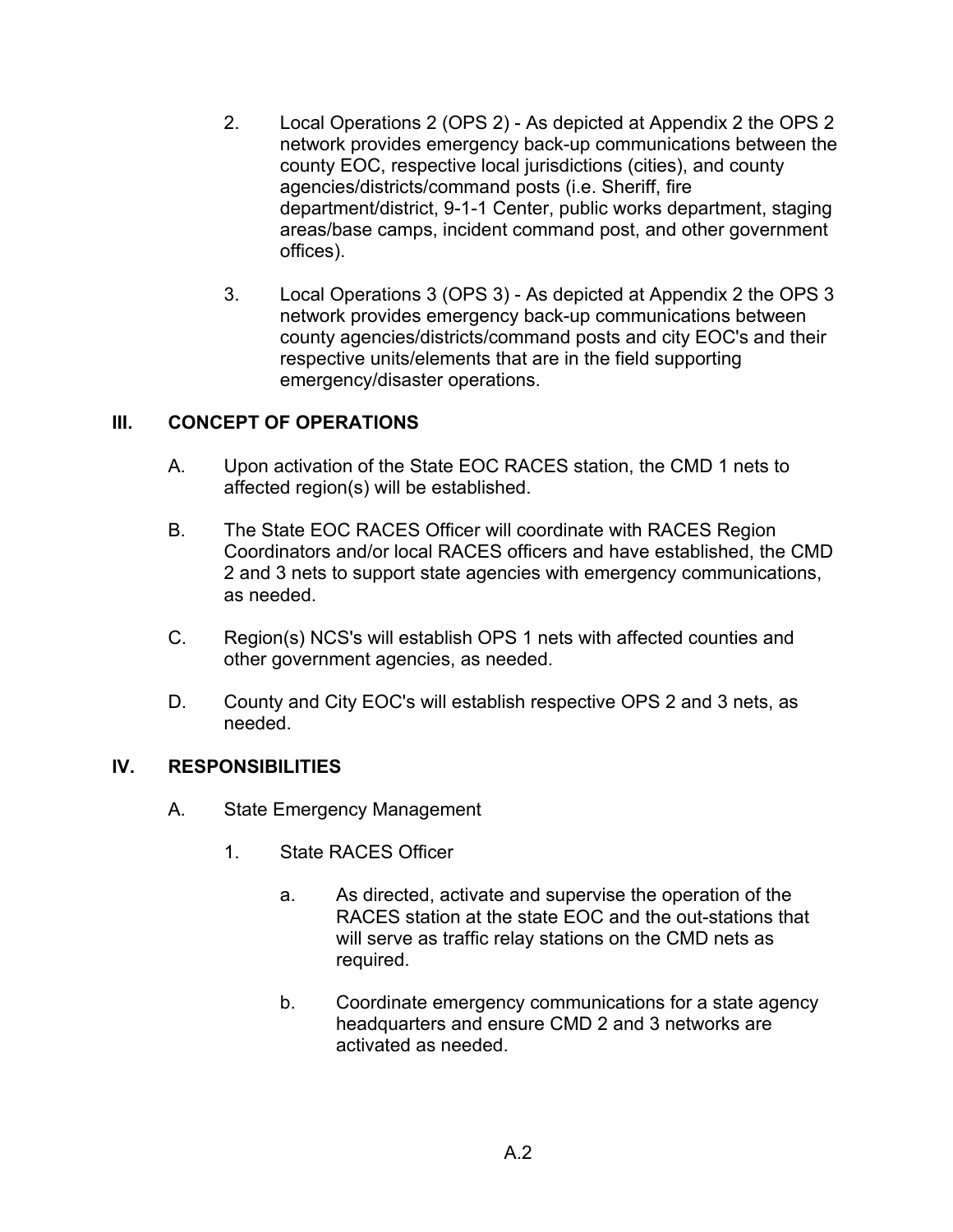- 2. Local Operations 2 (OPS 2) As depicted at Appendix 2 the OPS 2 network provides emergency back-up communications between the county EOC, respective local jurisdictions (cities), and county agencies/districts/command posts (i.e. Sheriff, fire department/district, 9-1-1 Center, public works department, staging areas/base camps, incident command post, and other government offices).
- 3. Local Operations 3 (OPS 3) As depicted at Appendix 2 the OPS 3 network provides emergency back-up communications between county agencies/districts/command posts and city EOC's and their respective units/elements that are in the field supporting emergency/disaster operations.

### **III. CONCEPT OF OPERATIONS**

- A. Upon activation of the State EOC RACES station, the CMD 1 nets to affected region(s) will be established.
- B. The State EOC RACES Officer will coordinate with RACES Region Coordinators and/or local RACES officers and have established, the CMD 2 and 3 nets to support state agencies with emergency communications, as needed.
- C. Region(s) NCS's will establish OPS 1 nets with affected counties and other government agencies, as needed.
- D. County and City EOC's will establish respective OPS 2 and 3 nets, as needed.

### **IV. RESPONSIBILITIES**

- A. State Emergency Management
	- 1. State RACES Officer
		- a. As directed, activate and supervise the operation of the RACES station at the state EOC and the out-stations that will serve as traffic relay stations on the CMD nets as required.
		- b. Coordinate emergency communications for a state agency headquarters and ensure CMD 2 and 3 networks are activated as needed.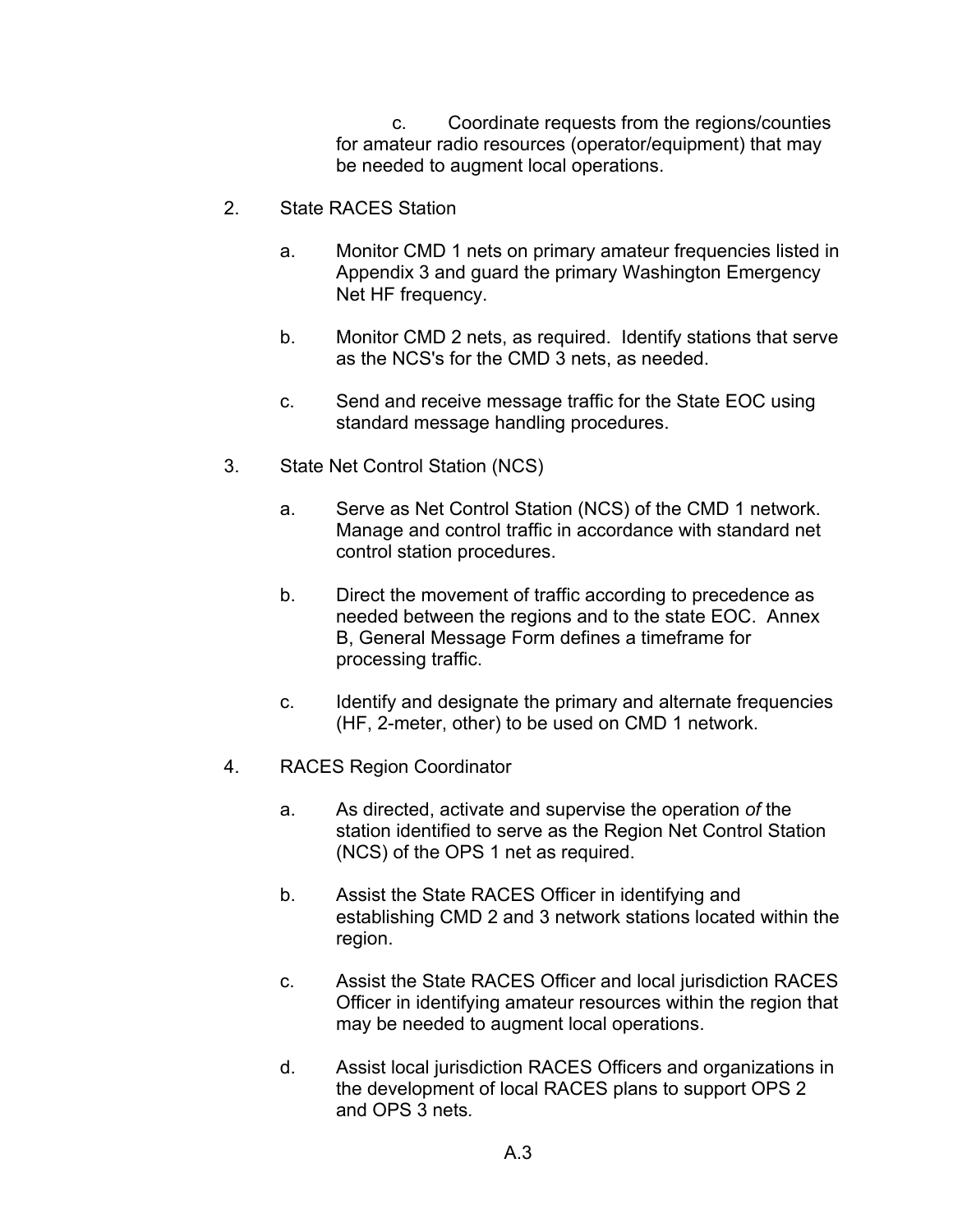c. Coordinate requests from the regions/counties for amateur radio resources (operator/equipment) that may be needed to augment local operations.

- 2. State RACES Station
	- a. Monitor CMD 1 nets on primary amateur frequencies listed in Appendix 3 and guard the primary Washington Emergency Net HF frequency.
	- b. Monitor CMD 2 nets, as required. Identify stations that serve as the NCS's for the CMD 3 nets, as needed.
	- c. Send and receive message traffic for the State EOC using standard message handling procedures.
- 3. State Net Control Station (NCS)
	- a. Serve as Net Control Station (NCS) of the CMD 1 network. Manage and control traffic in accordance with standard net control station procedures.
	- b. Direct the movement of traffic according to precedence as needed between the regions and to the state EOC. Annex B, General Message Form defines a timeframe for processing traffic.
	- c. Identify and designate the primary and alternate frequencies (HF, 2-meter, other) to be used on CMD 1 network.
- 4. RACES Region Coordinator
	- a. As directed, activate and supervise the operation *of* the station identified to serve as the Region Net Control Station (NCS) of the OPS 1 net as required.
	- b. Assist the State RACES Officer in identifying and establishing CMD 2 and 3 network stations located within the region.
	- c. Assist the State RACES Officer and local jurisdiction RACES Officer in identifying amateur resources within the region that may be needed to augment local operations.
	- d. Assist local jurisdiction RACES Officers and organizations in the development of local RACES plans to support OPS 2 and OPS 3 nets*.*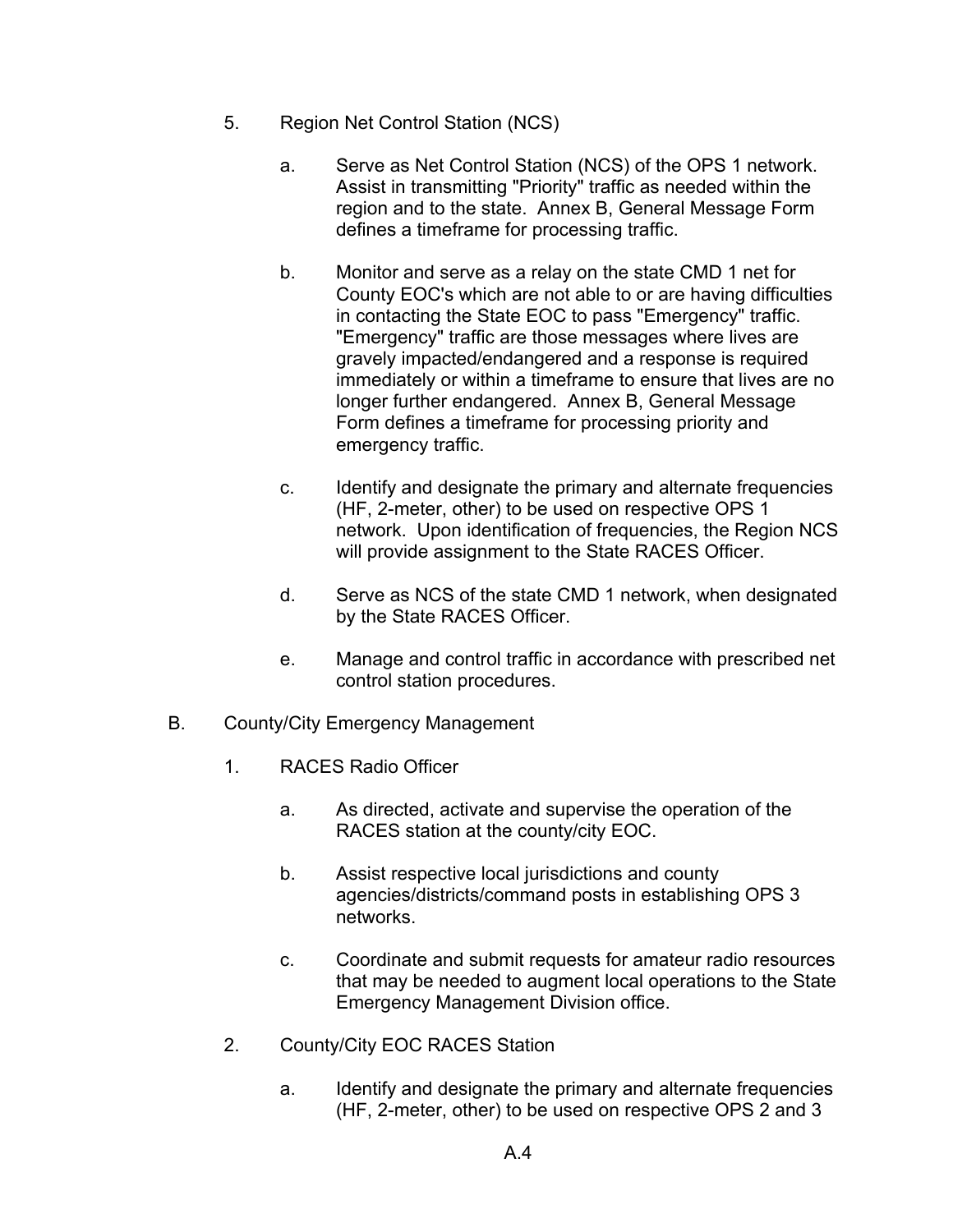- 5. Region Net Control Station (NCS)
	- a. Serve as Net Control Station (NCS) of the OPS 1 network. Assist in transmitting "Priority" traffic as needed within the region and to the state. Annex B, General Message Form defines a timeframe for processing traffic.
	- b. Monitor and serve as a relay on the state CMD 1 net for County EOC's which are not able to or are having difficulties in contacting the State EOC to pass "Emergency" traffic. "Emergency" traffic are those messages where lives are gravely impacted/endangered and a response is required immediately or within a timeframe to ensure that lives are no longer further endangered. Annex B, General Message Form defines a timeframe for processing priority and emergency traffic.
	- c. Identify and designate the primary and alternate frequencies (HF, 2-meter, other) to be used on respective OPS 1 network. Upon identification of frequencies, the Region NCS will provide assignment to the State RACES Officer.
	- d. Serve as NCS of the state CMD 1 network, when designated by the State RACES Officer.
	- e. Manage and control traffic in accordance with prescribed net control station procedures.
- B. County/City Emergency Management
	- 1. RACES Radio Officer
		- a. As directed, activate and supervise the operation of the RACES station at the county/city EOC.
		- b. Assist respective local jurisdictions and county agencies/districts/command posts in establishing OPS 3 networks.
		- c. Coordinate and submit requests for amateur radio resources that may be needed to augment local operations to the State Emergency Management Division office.
	- 2. County/City EOC RACES Station
		- a. Identify and designate the primary and alternate frequencies (HF, 2-meter, other) to be used on respective OPS 2 and 3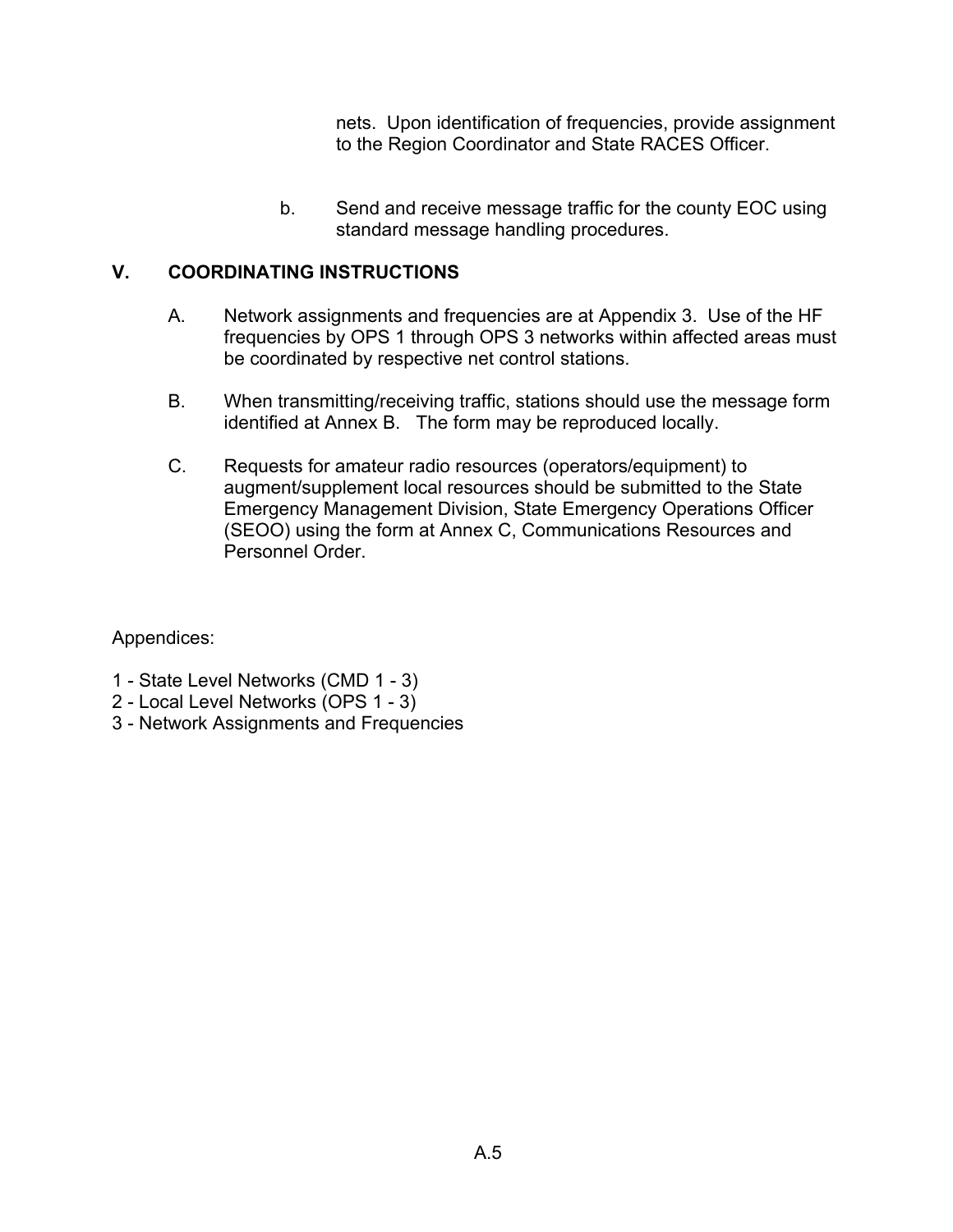nets. Upon identification of frequencies, provide assignment to the Region Coordinator and State RACES Officer.

b. Send and receive message traffic for the county EOC using standard message handling procedures.

### **V. COORDINATING INSTRUCTIONS**

- A. Network assignments and frequencies are at Appendix 3. Use of the HF frequencies by OPS 1 through OPS 3 networks within affected areas must be coordinated by respective net control stations.
- B. When transmitting/receiving traffic, stations should use the message form identified at Annex B. The form may be reproduced locally.
- C. Requests for amateur radio resources (operators/equipment) to augment/supplement local resources should be submitted to the State Emergency Management Division, State Emergency Operations Officer (SEOO) using the form at Annex C, Communications Resources and Personnel Order.

Appendices:

- 1 State Level Networks (CMD 1 3)
- 2 Local Level Networks (OPS 1 3)
- 3 Network Assignments and Frequencies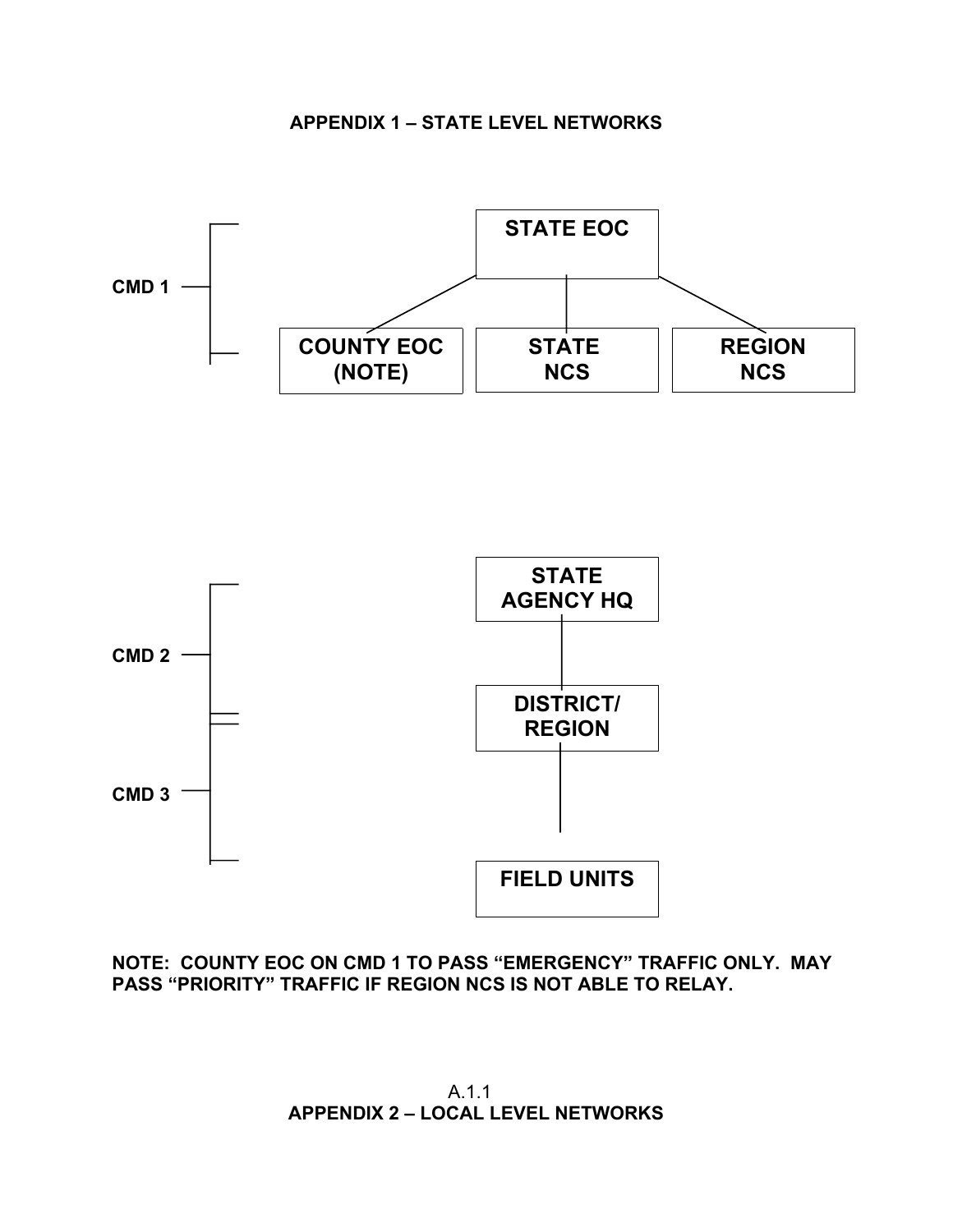



**NOTE: COUNTY EOC ON CMD 1 TO PASS "EMERGENCY" TRAFFIC ONLY. MAY PASS "PRIORITY" TRAFFIC IF REGION NCS IS NOT ABLE TO RELAY.**

A.1.1 **APPENDIX 2 – LOCAL LEVEL NETWORKS**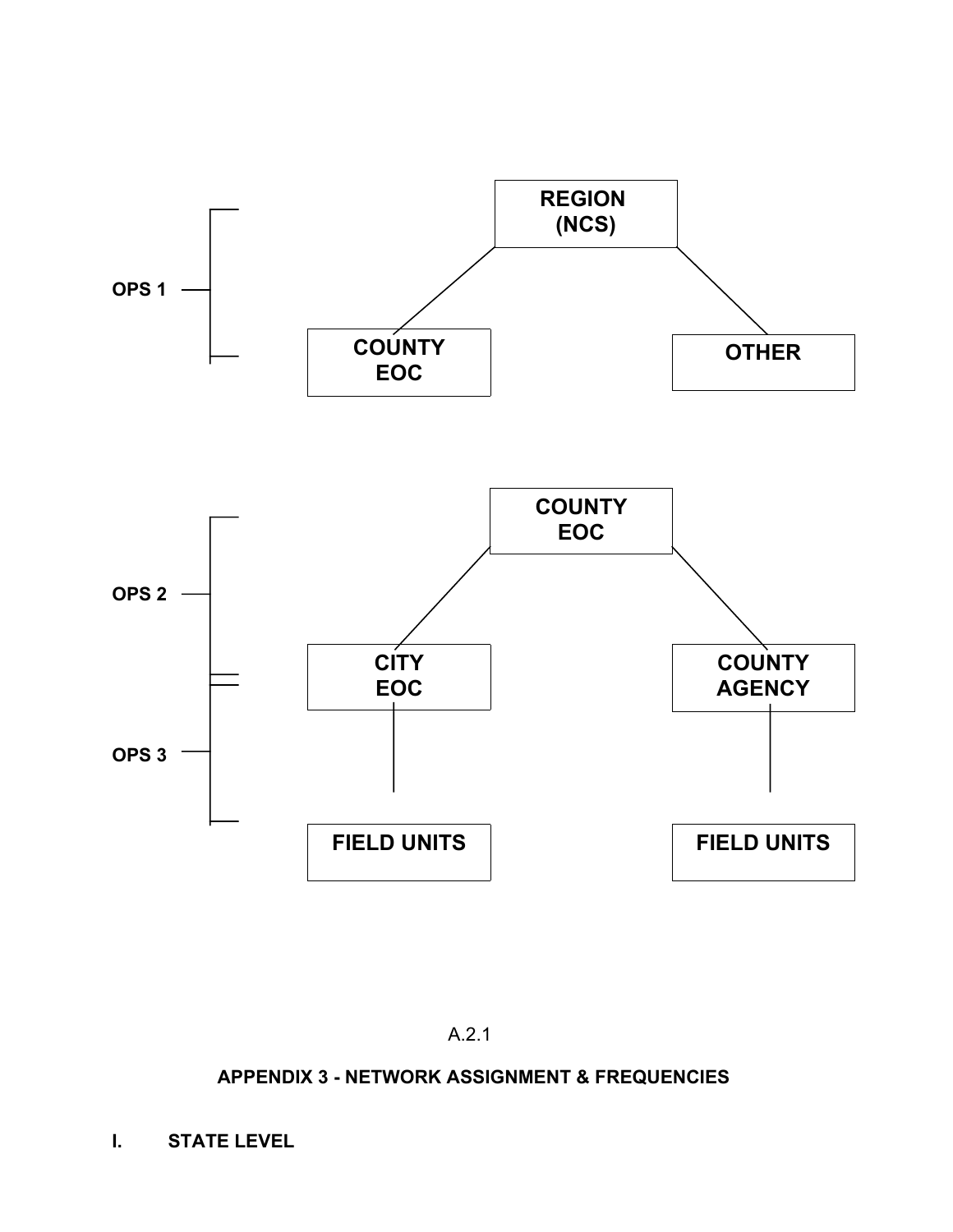

A.2.1

# **APPENDIX 3 - NETWORK ASSIGNMENT & FREQUENCIES**

**I. STATE LEVEL**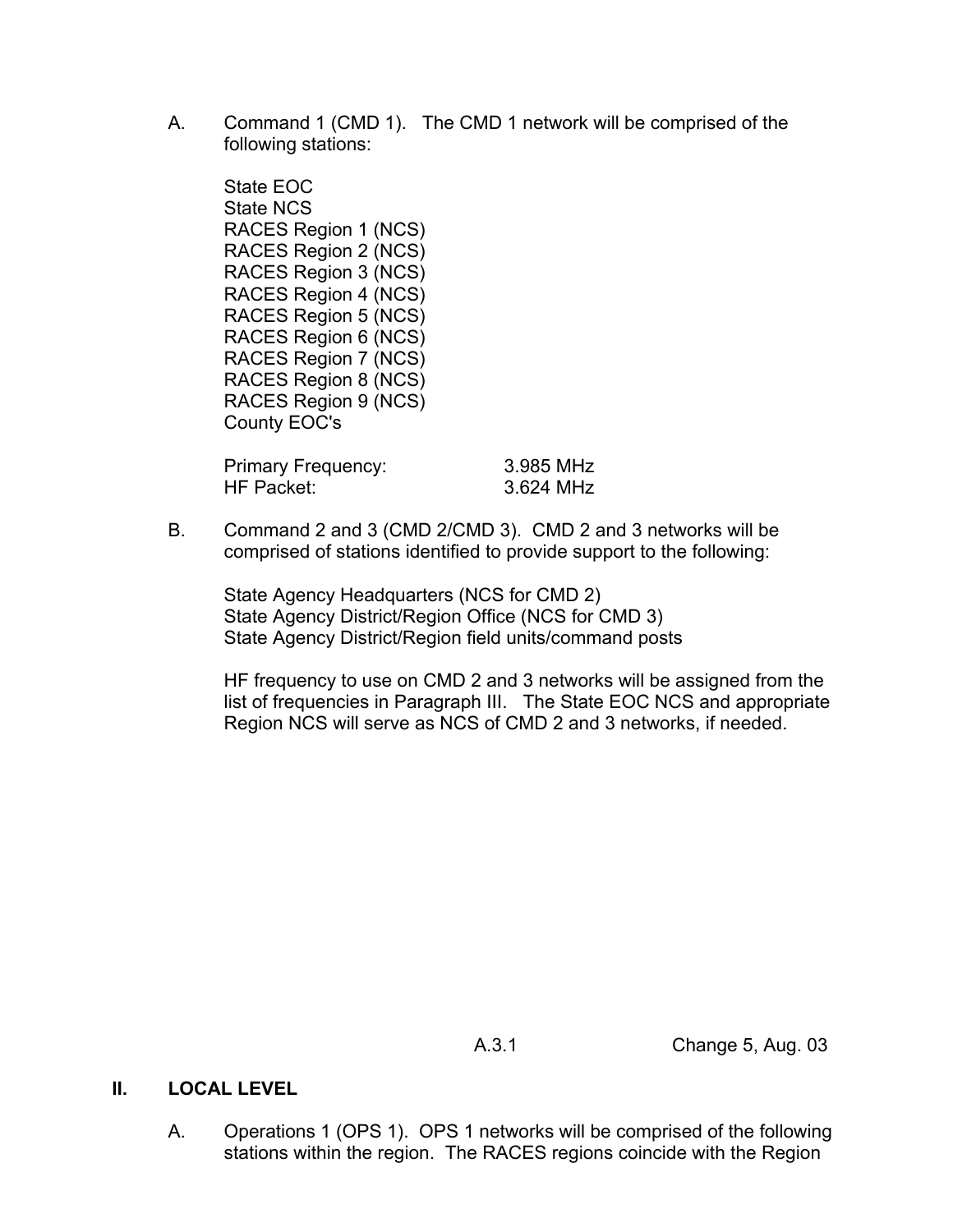A. Command 1 (CMD 1). The CMD 1 network will be comprised of the following stations:

State EOC State NCS RACES Region 1 (NCS) RACES Region 2 (NCS) RACES Region 3 (NCS) RACES Region 4 (NCS) RACES Region 5 (NCS) RACES Region 6 (NCS) RACES Region 7 (NCS) RACES Region 8 (NCS) RACES Region 9 (NCS) County EOC's

Primary Frequency: 3.985 MHz HF Packet: 3.624 MHz

B. Command 2 and 3 (CMD 2/CMD 3). CMD 2 and 3 networks will be comprised of stations identified to provide support to the following:

State Agency Headquarters (NCS for CMD 2) State Agency District/Region Office (NCS for CMD 3) State Agency District/Region field units/command posts

HF frequency to use on CMD 2 and 3 networks will be assigned from the list of frequencies in Paragraph III. The State EOC NCS and appropriate Region NCS will serve as NCS of CMD 2 and 3 networks, if needed.

A.3.1 Change 5, Aug. 03

# **II. LOCAL LEVEL**

A. Operations 1 (OPS 1). OPS 1 networks will be comprised of the following stations within the region. The RACES regions coincide with the Region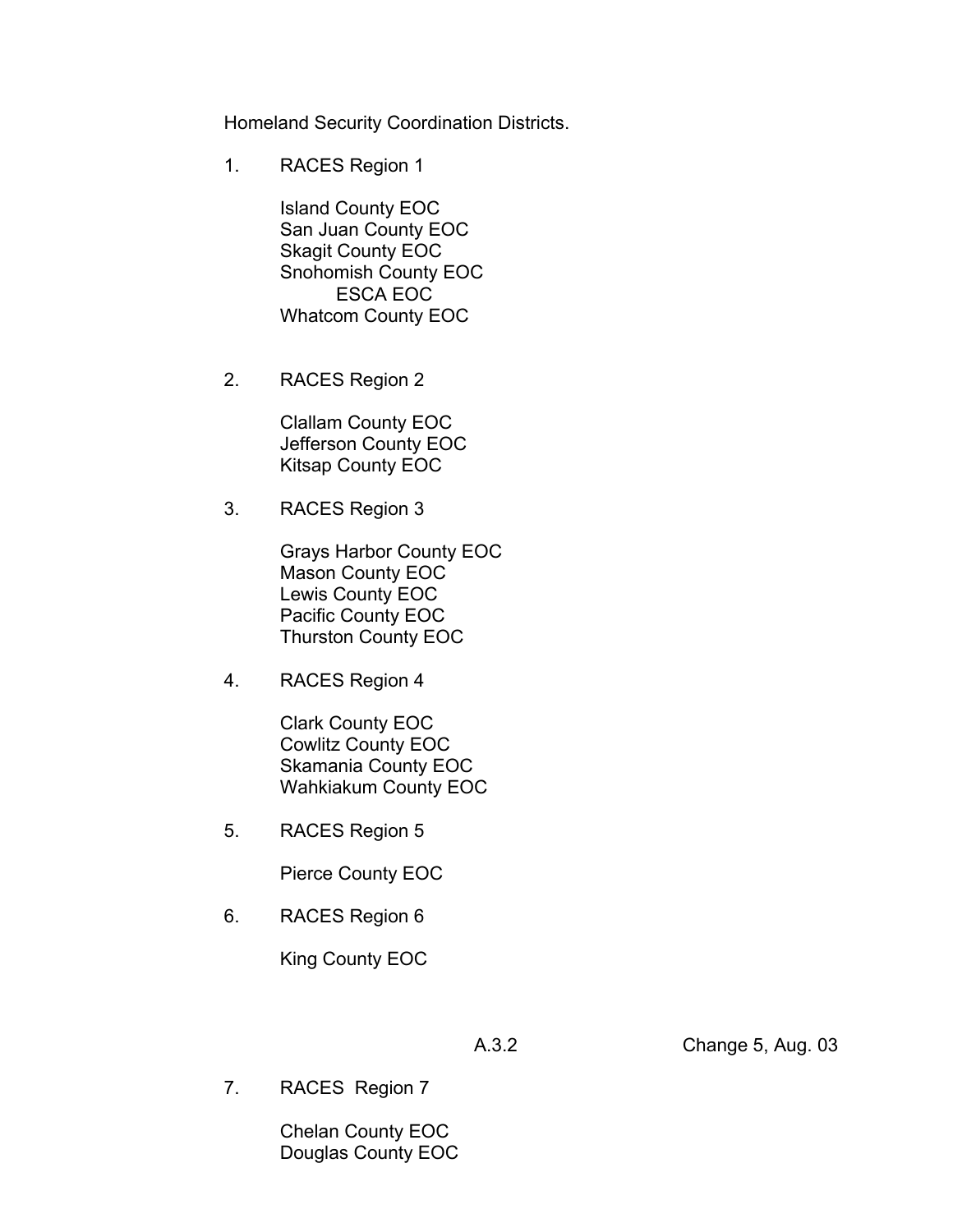Homeland Security Coordination Districts.

1. RACES Region 1

Island County EOC San Juan County EOC Skagit County EOC Snohomish County EOC ESCA EOC Whatcom County EOC

2. RACES Region 2

Clallam County EOC Jefferson County EOC Kitsap County EOC

3. RACES Region 3

Grays Harbor County EOC Mason County EOC Lewis County EOC Pacific County EOC Thurston County EOC

4. RACES Region 4

Clark County EOC Cowlitz County EOC Skamania County EOC Wahkiakum County EOC

5. RACES Region 5

Pierce County EOC

6. RACES Region 6

King County EOC

A.3.2 Change 5, Aug. 03

7. RACES Region 7

Chelan County EOC Douglas County EOC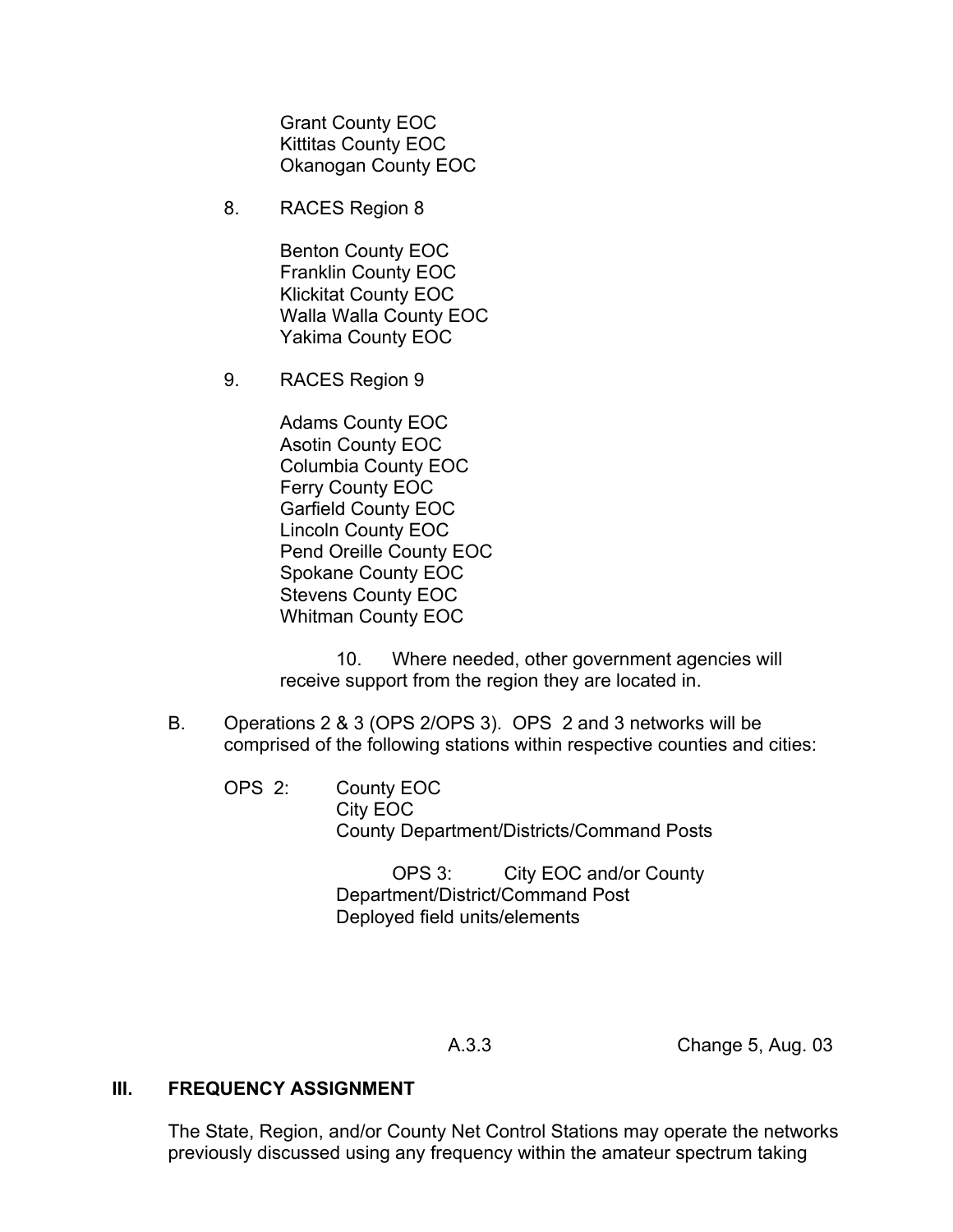Grant County EOC Kittitas County EOC Okanogan County EOC

8. RACES Region 8

Benton County EOC Franklin County EOC Klickitat County EOC Walla Walla County EOC Yakima County EOC

9. RACES Region 9

Adams County EOC Asotin County EOC Columbia County EOC Ferry County EOC Garfield County EOC Lincoln County EOC Pend Oreille County EOC Spokane County EOC Stevens County EOC Whitman County EOC

10. Where needed, other government agencies will receive support from the region they are located in.

- B. Operations 2 & 3 (OPS 2/OPS 3). OPS 2 and 3 networks will be comprised of the following stations within respective counties and cities:
	- OPS 2: County EOC City EOC County Department/Districts/Command Posts

OPS 3: City EOC and/or County Department/District/Command Post Deployed field units/elements

A.3.3 Change 5, Aug. 03

### **III. FREQUENCY ASSIGNMENT**

The State, Region, and/or County Net Control Stations may operate the networks previously discussed using any frequency within the amateur spectrum taking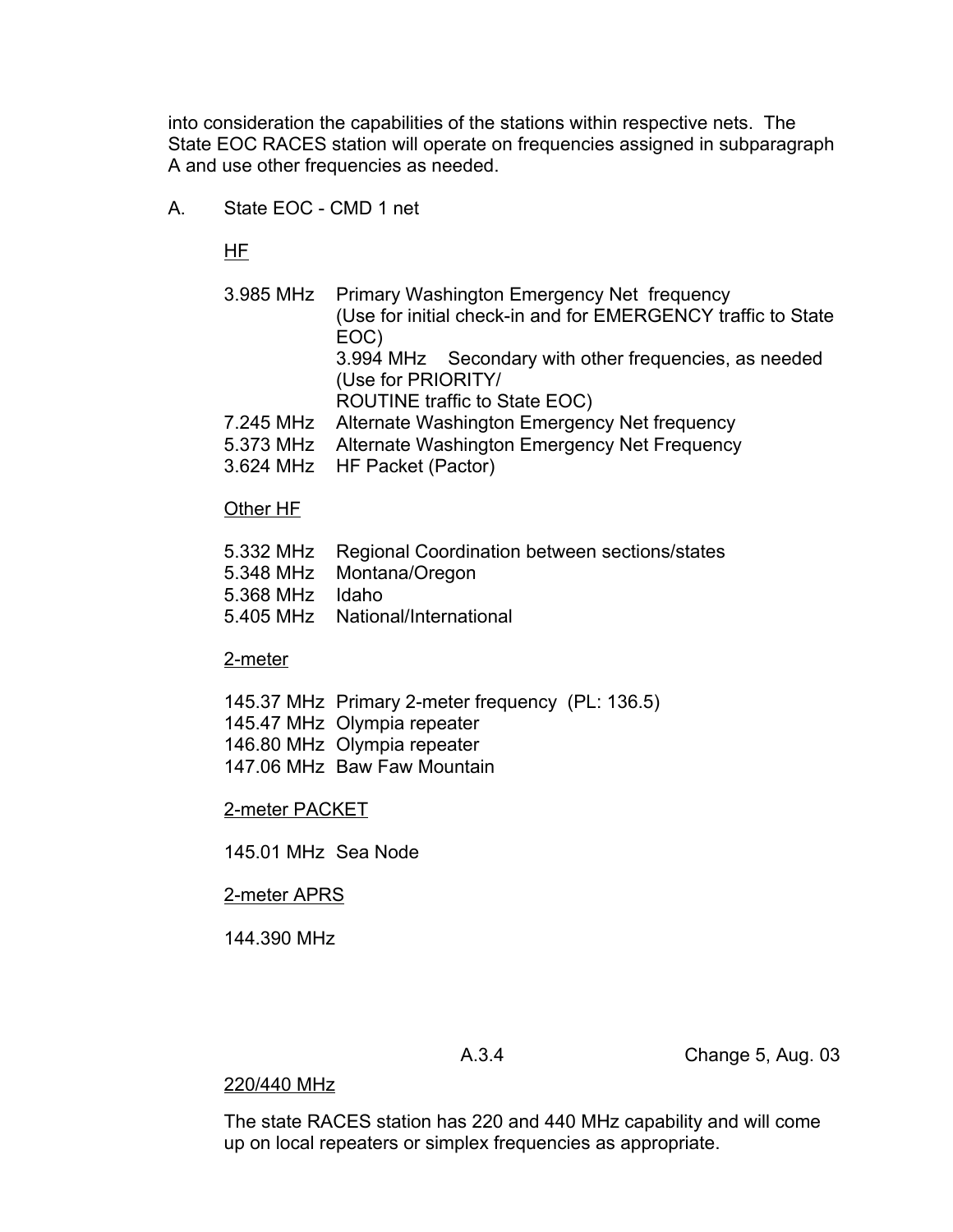into consideration the capabilities of the stations within respective nets. The State EOC RACES station will operate on frequencies assigned in subparagraph A and use other frequencies as needed.

A. State EOC - CMD 1 net

HF

- 3.985 MHz Primary Washington Emergency Net frequency (Use for initial check-in and for EMERGENCY traffic to State EOC) 3.994 MHz Secondary with other frequencies, as needed (Use for PRIORITY/
	- ROUTINE traffic to State EOC)
- 7.245 MHz Alternate Washington Emergency Net frequency
- 5.373 MHz Alternate Washington Emergency Net Frequency
- 3.624 MHz HF Packet (Pactor)

### Other HF

- 5.332 MHz Regional Coordination between sections/states
- 5.348 MHz Montana/Oregon
- 5.368 MHz Idaho
- 5.405 MHz National/International

### 2-meter

- 145.37 MHz Primary 2-meter frequency (PL: 136.5)
- 145.47 MHz Olympia repeater
- 146.80 MHz Olympia repeater
- 147.06 MHz Baw Faw Mountain

### 2-meter PACKET

145.01 MHz Sea Node

### 2-meter APRS

144.390 MHz

A.3.4 Change 5, Aug. 03

### 220/440 MHz

The state RACES station has 220 and 440 MHz capability and will come up on local repeaters or simplex frequencies as appropriate.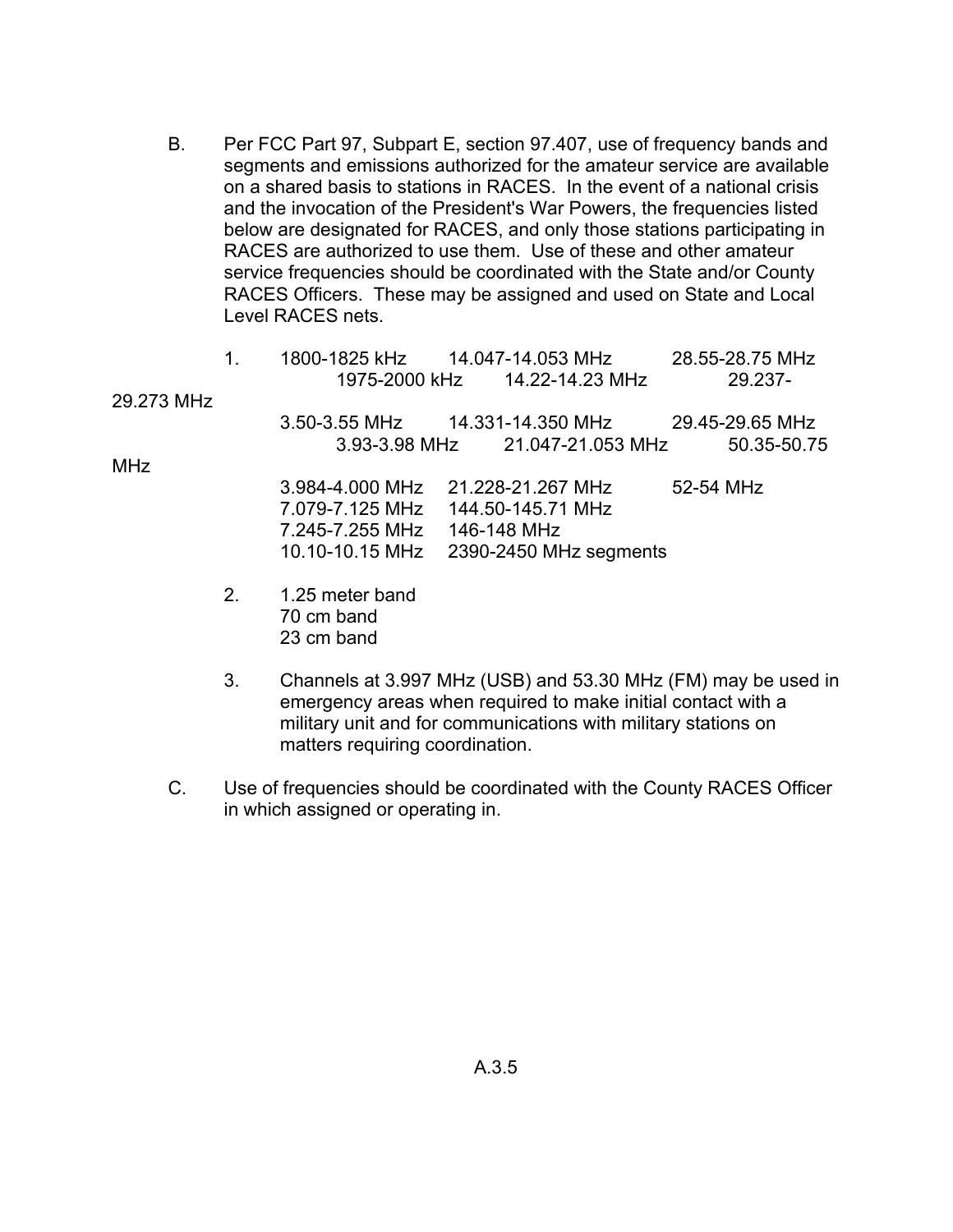B. Per FCC Part 97, Subpart E, section 97.407, use of frequency bands and segments and emissions authorized for the amateur service are available on a shared basis to stations in RACES. In the event of a national crisis and the invocation of the President's War Powers, the frequencies listed below are designated for RACES, and only those stations participating in RACES are authorized to use them. Use of these and other amateur service frequencies should be coordinated with the State and/or County RACES Officers. These may be assigned and used on State and Local Level RACES nets.

|            | 1. |                                 |                   |                        |           | 28.55-28.75 MHz |
|------------|----|---------------------------------|-------------------|------------------------|-----------|-----------------|
|            |    | 1975-2000 kHz                   | 14.22-14.23 MHz   |                        |           | 29.237-         |
| 29.273 MHz |    |                                 |                   |                        |           |                 |
|            |    |                                 |                   |                        |           | 29.45-29.65 MHz |
|            |    | 3.93-3.98 MHz 21.047-21.053 MHz |                   |                        |           | 50.35-50.75     |
| <b>MHz</b> |    |                                 |                   |                        |           |                 |
|            |    | 3.984-4.000 MHz                 | 21.228-21.267 MHz |                        | 52-54 MHz |                 |
|            |    | 7.079-7.125 MHz                 | 144.50-145.71 MHz |                        |           |                 |
|            |    | 7.245-7.255 MHz 146-148 MHz     |                   |                        |           |                 |
|            |    | 10.10-10.15 MHz                 |                   | 2390-2450 MHz segments |           |                 |
|            |    |                                 |                   |                        |           |                 |

- 2. 1.25 meter band 70 cm band 23 cm band
- 3. Channels at 3.997 MHz (USB) and 53.30 MHz (FM) may be used in emergency areas when required to make initial contact with a military unit and for communications with military stations on matters requiring coordination.
- C. Use of frequencies should be coordinated with the County RACES Officer in which assigned or operating in.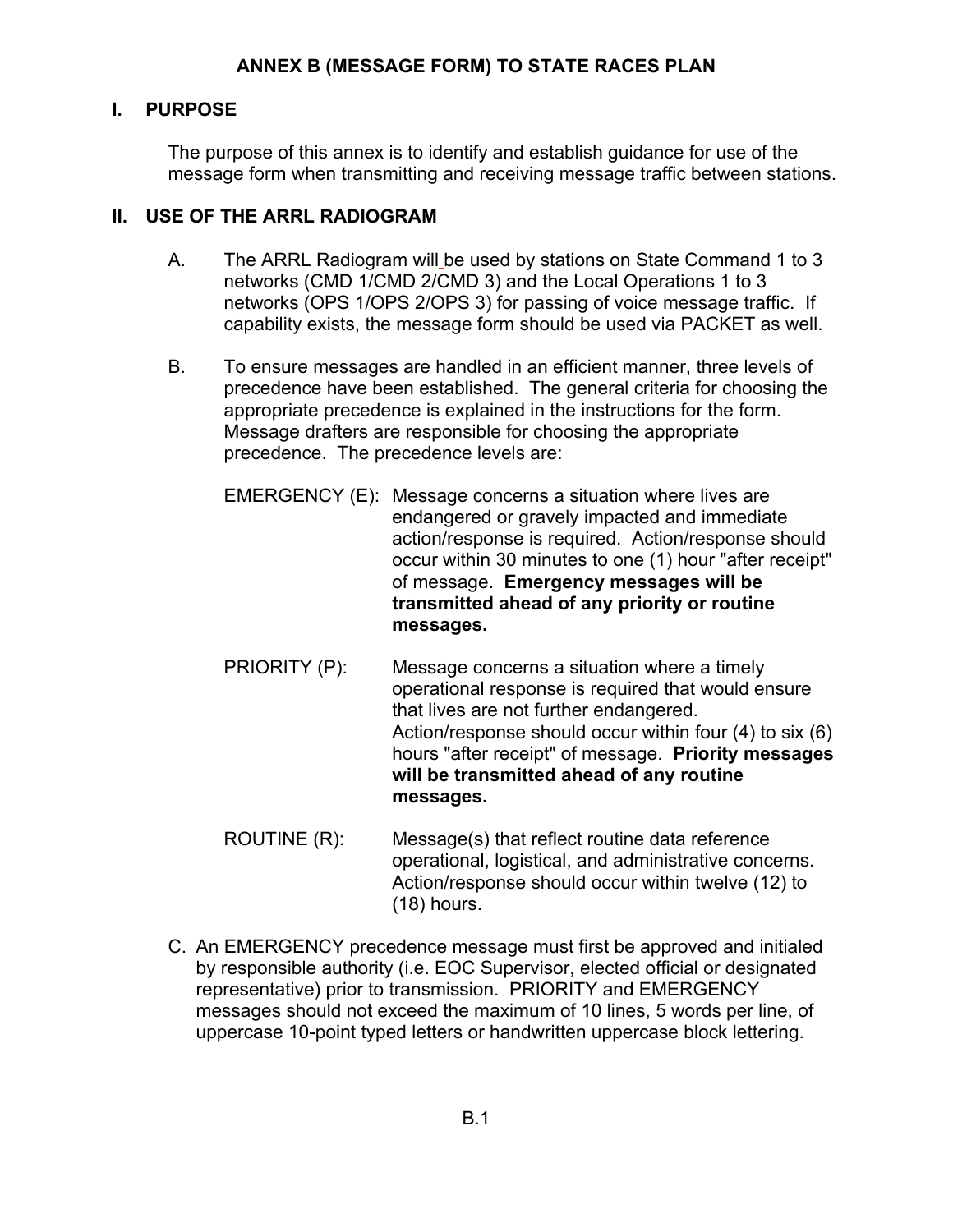# **I. PURPOSE**

The purpose of this annex is to identify and establish guidance for use of the message form when transmitting and receiving message traffic between stations.

# **II. USE OF THE ARRL RADIOGRAM**

- A. The ARRL Radiogram will be used by stations on State Command 1 to 3 networks (CMD 1/CMD 2/CMD 3) and the Local Operations 1 to 3 networks (OPS 1/OPS 2/OPS 3) for passing of voice message traffic. If capability exists, the message form should be used via PACKET as well.
- B. To ensure messages are handled in an efficient manner, three levels of precedence have been established. The general criteria for choosing the appropriate precedence is explained in the instructions for the form. Message drafters are responsible for choosing the appropriate precedence. The precedence levels are:
	- EMERGENCY (E): Message concerns a situation where lives are endangered or gravely impacted and immediate action/response is required. Action/response should occur within 30 minutes to one (1) hour "after receipt" of message. **Emergency messages will be transmitted ahead of any priority or routine messages.**
	- PRIORITY (P): Message concerns a situation where a timely operational response is required that would ensure that lives are not further endangered. Action/response should occur within four (4) to six (6) hours "after receipt" of message. **Priority messages will be transmitted ahead of any routine messages.**
	- ROUTINE (R): Message(s) that reflect routine data reference operational, logistical, and administrative concerns. Action/response should occur within twelve (12) to (18) hours.
- C. An EMERGENCY precedence message must first be approved and initialed by responsible authority (i.e. EOC Supervisor, elected official or designated representative) prior to transmission. PRIORITY and EMERGENCY messages should not exceed the maximum of 10 lines, 5 words per line, of uppercase 10-point typed letters or handwritten uppercase block lettering.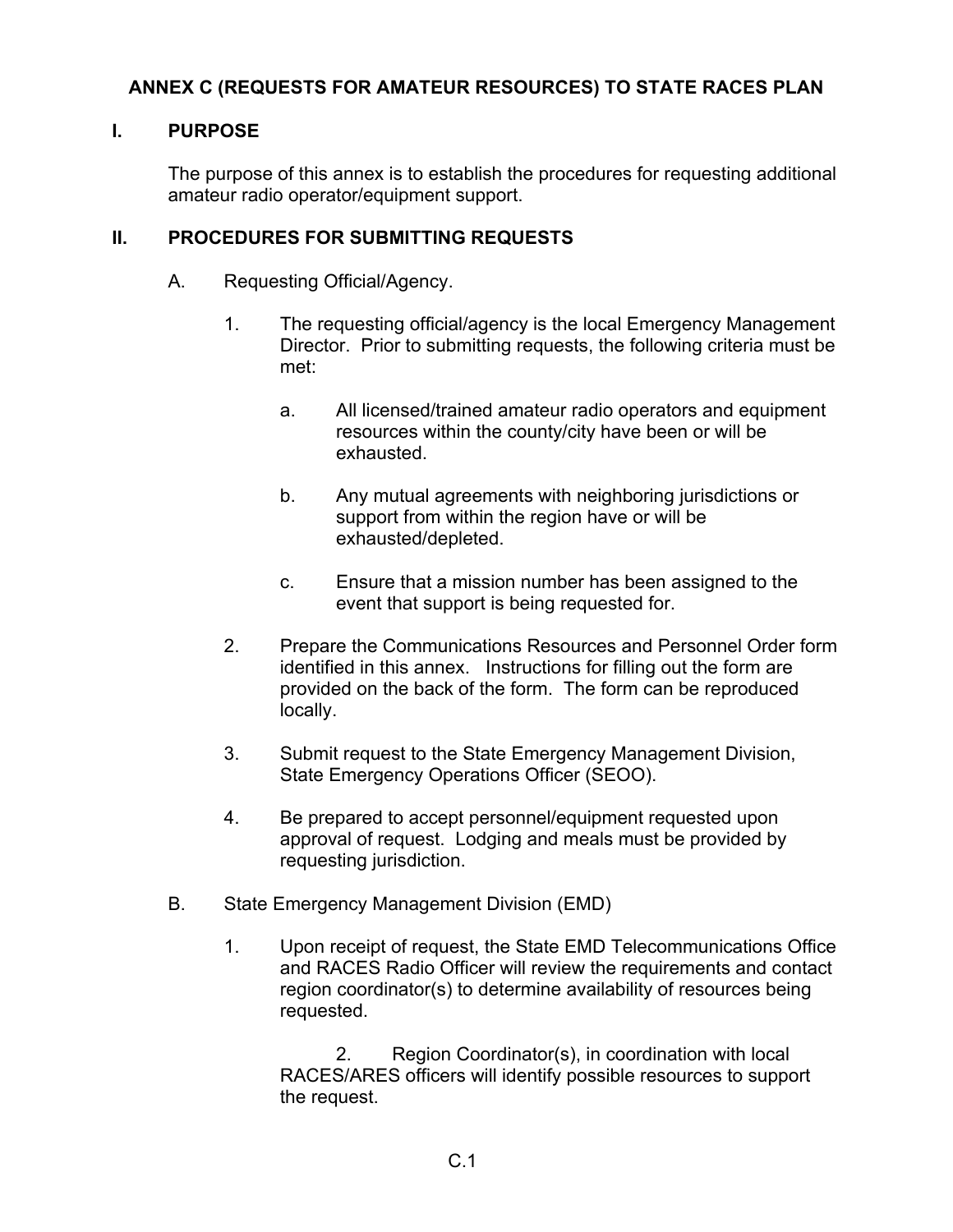# **ANNEX C (REQUESTS FOR AMATEUR RESOURCES) TO STATE RACES PLAN**

### **I. PURPOSE**

The purpose of this annex is to establish the procedures for requesting additional amateur radio operator/equipment support.

### **II. PROCEDURES FOR SUBMITTING REQUESTS**

- A. Requesting Official/Agency.
	- 1. The requesting official/agency is the local Emergency Management Director. Prior to submitting requests, the following criteria must be met:
		- a. All licensed/trained amateur radio operators and equipment resources within the county/city have been or will be exhausted.
		- b. Any mutual agreements with neighboring jurisdictions or support from within the region have or will be exhausted/depleted.
		- c. Ensure that a mission number has been assigned to the event that support is being requested for.
	- 2. Prepare the Communications Resources and Personnel Order form identified in this annex. Instructions for filling out the form are provided on the back of the form. The form can be reproduced locally.
	- 3. Submit request to the State Emergency Management Division, State Emergency Operations Officer (SEOO).
	- 4. Be prepared to accept personnel/equipment requested upon approval of request. Lodging and meals must be provided by requesting jurisdiction.
- B. State Emergency Management Division (EMD)
	- 1. Upon receipt of request, the State EMD Telecommunications Office and RACES Radio Officer will review the requirements and contact region coordinator(s) to determine availability of resources being requested.

2. Region Coordinator(s), in coordination with local RACES/ARES officers will identify possible resources to support the request.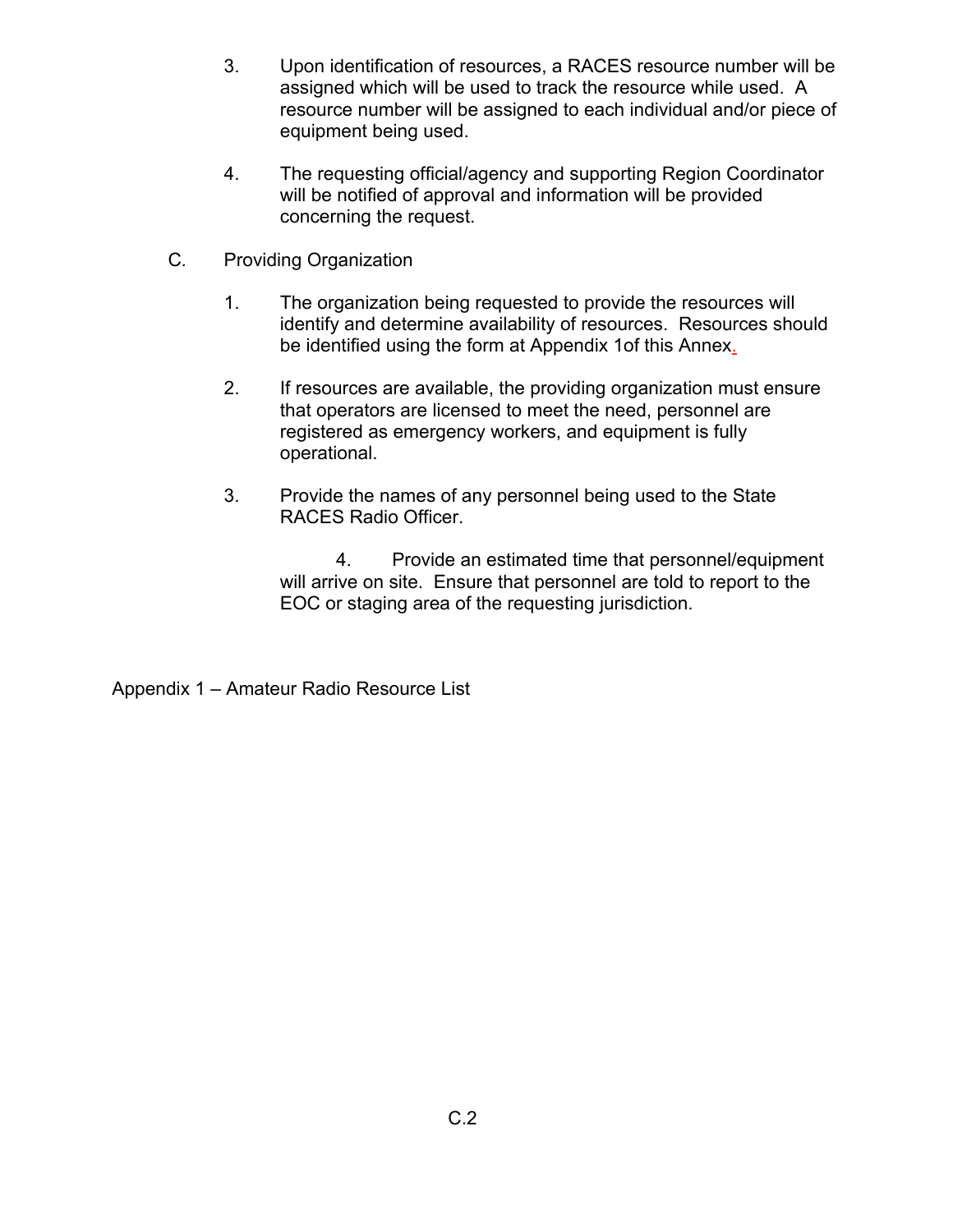- 3. Upon identification of resources, a RACES resource number will be assigned which will be used to track the resource while used. A resource number will be assigned to each individual and/or piece of equipment being used.
- 4. The requesting official/agency and supporting Region Coordinator will be notified of approval and information will be provided concerning the request.
- C*.* Providing Organization
	- 1. The organization being requested to provide the resources will identify and determine availability of resources. Resources should be identified using the form at Appendix 1of this Annex.
	- 2. If resources are available, the providing organization must ensure that operators are licensed to meet the need, personnel are registered as emergency workers, and equipment is fully operational.
	- 3. Provide the names of any personnel being used to the State RACES Radio Officer.

4. Provide an estimated time that personnel/equipment will arrive on site. Ensure that personnel are told to report to the EOC or staging area of the requesting jurisdiction.

Appendix 1 – Amateur Radio Resource List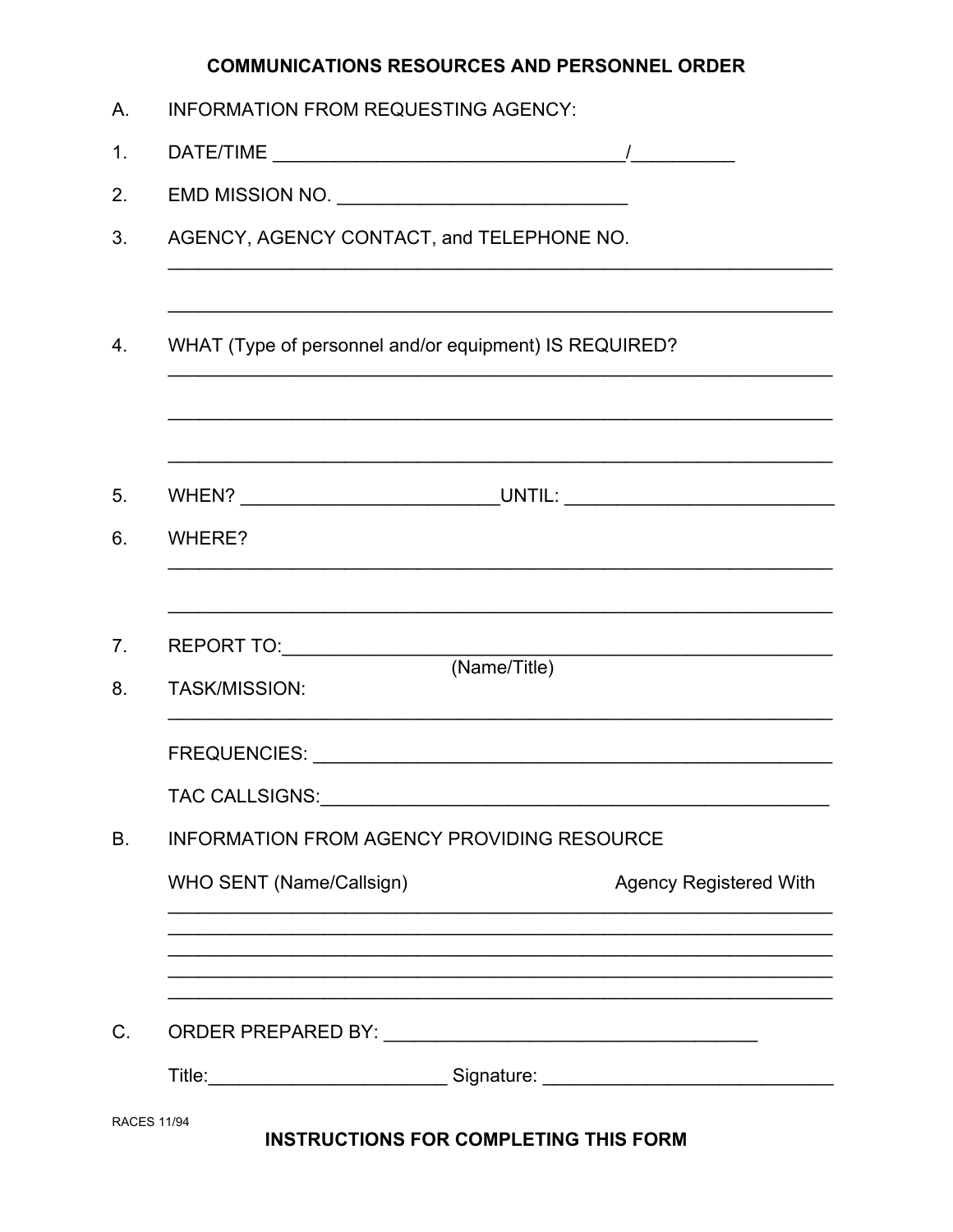# **COMMUNICATIONS RESOURCES AND PERSONNEL ORDER**

| Α.                 | <b>INFORMATION FROM REQUESTING AGENCY:</b>                                                                                                                                                                                     |
|--------------------|--------------------------------------------------------------------------------------------------------------------------------------------------------------------------------------------------------------------------------|
| 1.                 |                                                                                                                                                                                                                                |
| 2.                 | EMD MISSION NO.                                                                                                                                                                                                                |
| 3.                 | AGENCY, AGENCY CONTACT, and TELEPHONE NO.                                                                                                                                                                                      |
|                    |                                                                                                                                                                                                                                |
| 4.                 | WHAT (Type of personnel and/or equipment) IS REQUIRED?                                                                                                                                                                         |
|                    |                                                                                                                                                                                                                                |
| 5.                 |                                                                                                                                                                                                                                |
| 6.                 | WHERE?                                                                                                                                                                                                                         |
|                    |                                                                                                                                                                                                                                |
| 7.                 | (Name/Title)                                                                                                                                                                                                                   |
| 8.                 | <b>TASK/MISSION:</b>                                                                                                                                                                                                           |
|                    |                                                                                                                                                                                                                                |
|                    | TAC CALLSIGNS: University of the set of the set of the set of the set of the set of the set of the set of the set of the set of the set of the set of the set of the set of the set of the set of the set of the set of the se |
| В.                 | INFORMATION FROM AGENCY PROVIDING RESOURCE                                                                                                                                                                                     |
|                    | WHO SENT (Name/Callsign)<br><b>Agency Registered With</b>                                                                                                                                                                      |
|                    |                                                                                                                                                                                                                                |
| C.                 |                                                                                                                                                                                                                                |
|                    | Title: _________________________________Signature: _____________________________                                                                                                                                               |
| <b>RACES 11/94</b> | <b>INSTRUCTIONS FOR COMPLETING THIS FORM</b>                                                                                                                                                                                   |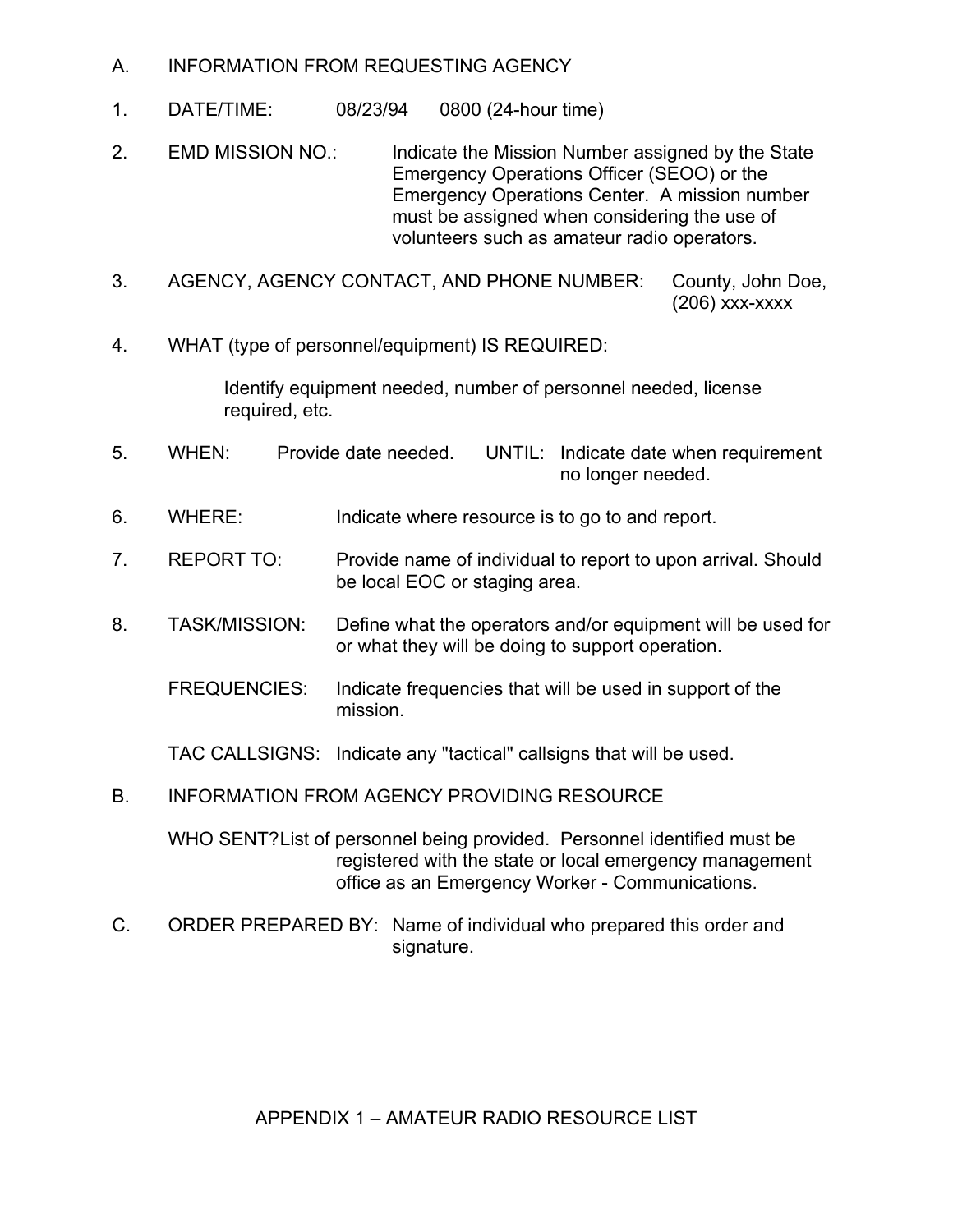- A. INFORMATION FROM REQUESTING AGENCY
- 1. DATE/TIME: 08/23/94 0800 (24-hour time)
- 2. EMD MISSION NO.: Indicate the Mission Number assigned by the State Emergency Operations Officer (SEOO) or the Emergency Operations Center. A mission number must be assigned when considering the use of volunteers such as amateur radio operators.
- 3. AGENCY, AGENCY CONTACT, AND PHONE NUMBER: County, John Doe, (206) xxx-xxxx
- 4. WHAT (type of personnel/equipment) IS REQUIRED:

Identify equipment needed, number of personnel needed, license required, etc.

- 5. WHEN: Provide date needed. UNTIL: Indicate date when requirement no longer needed.
- 6. WHERE: Indicate where resource is to go to and report.
- 7. REPORT TO: Provide name of individual to report to upon arrival. Should be local EOC or staging area.
- 8. TASK/MISSION: Define what the operators and/or equipment will be used for or what they will be doing to support operation.
	- FREQUENCIES: Indicate frequencies that will be used in support of the mission.
	- TAC CALLSIGNS: Indicate any "tactical" callsigns that will be used.
- B. INFORMATION FROM AGENCY PROVIDING RESOURCE

WHO SENT?List of personnel being provided. Personnel identified must be registered with the state or local emergency management office as an Emergency Worker - Communications.

C. ORDER PREPARED BY: Name of individual who prepared this order and signature.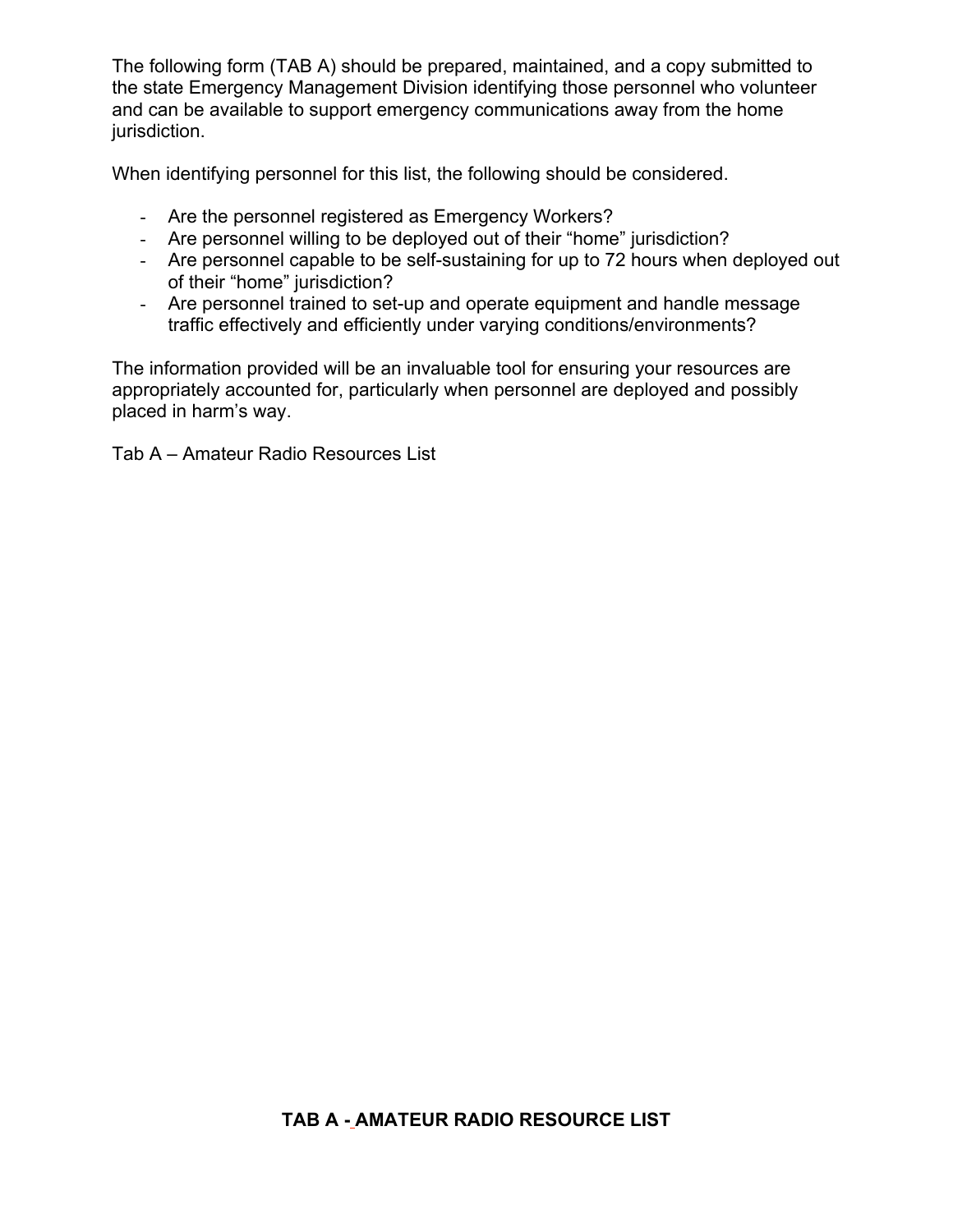The following form (TAB A) should be prepared, maintained, and a copy submitted to the state Emergency Management Division identifying those personnel who volunteer and can be available to support emergency communications away from the home jurisdiction.

When identifying personnel for this list, the following should be considered.

- Are the personnel registered as Emergency Workers?
- Are personnel willing to be deployed out of their "home" jurisdiction?
- Are personnel capable to be self-sustaining for up to 72 hours when deployed out of their "home" jurisdiction?
- Are personnel trained to set-up and operate equipment and handle message traffic effectively and efficiently under varying conditions/environments?

The information provided will be an invaluable tool for ensuring your resources are appropriately accounted for, particularly when personnel are deployed and possibly placed in harm's way.

Tab A – Amateur Radio Resources List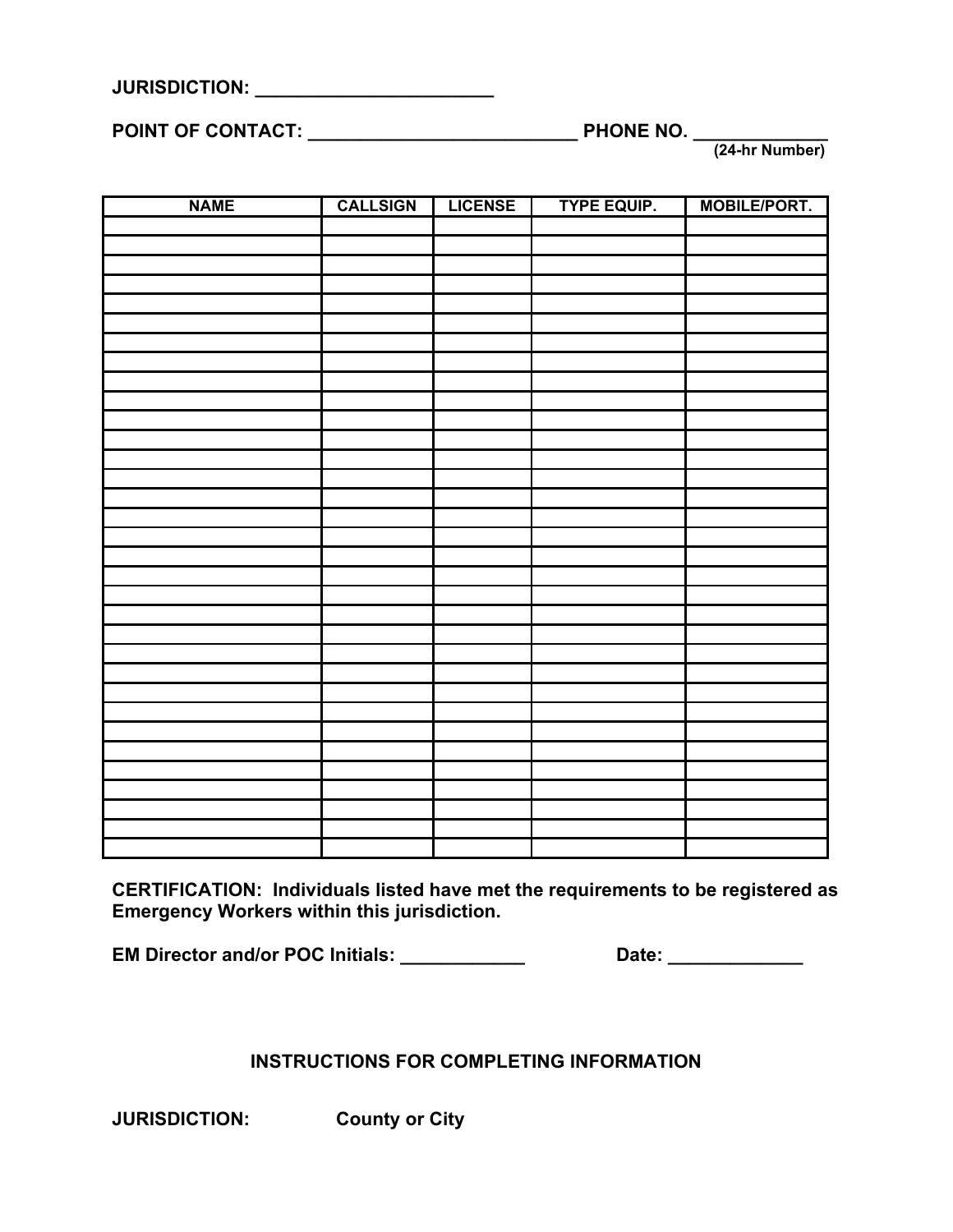| <b>JURISDICTION:</b> |  |  |  |  |
|----------------------|--|--|--|--|
|                      |  |  |  |  |

**POINT OF CONTACT: \_\_\_\_\_\_\_\_\_\_\_\_\_\_\_\_\_\_\_\_\_\_\_\_\_\_ PHONE NO. \_\_\_\_\_\_\_\_\_\_\_\_\_**

 **(24-hr Number)**

| <b>NAME</b> | <b>CALLSIGN</b> | <b>LICENSE</b> | <b>TYPE EQUIP.</b> | <b>MOBILE/PORT.</b> |
|-------------|-----------------|----------------|--------------------|---------------------|
|             |                 |                |                    |                     |
|             |                 |                |                    |                     |
|             |                 |                |                    |                     |
|             |                 |                |                    |                     |
|             |                 |                |                    |                     |
|             |                 |                |                    |                     |
|             |                 |                |                    |                     |
|             |                 |                |                    |                     |
|             |                 |                |                    |                     |
|             |                 |                |                    |                     |
|             |                 |                |                    |                     |
|             |                 |                |                    |                     |
|             |                 |                |                    |                     |
|             |                 |                |                    |                     |
|             |                 |                |                    |                     |
|             |                 |                |                    |                     |
|             |                 |                |                    |                     |
|             |                 |                |                    |                     |
|             |                 |                |                    |                     |
|             |                 |                |                    |                     |
|             |                 |                |                    |                     |
|             |                 |                |                    |                     |
|             |                 |                |                    |                     |
|             |                 |                |                    |                     |
|             |                 |                |                    |                     |
|             |                 |                |                    |                     |
|             |                 |                |                    |                     |
|             |                 |                |                    |                     |
|             |                 |                |                    |                     |
|             |                 |                |                    |                     |
|             |                 |                |                    |                     |
|             |                 |                |                    |                     |
|             |                 |                |                    |                     |

**CERTIFICATION: Individuals listed have met the requirements to be registered as Emergency Workers within this jurisdiction.** 

**EM Director and/or POC Initials: \_\_\_\_\_\_\_\_\_\_\_\_ Date: \_\_\_\_\_\_\_\_\_\_\_\_\_**

# **INSTRUCTIONS FOR COMPLETING INFORMATION**

**JURISDICTION: County or City**